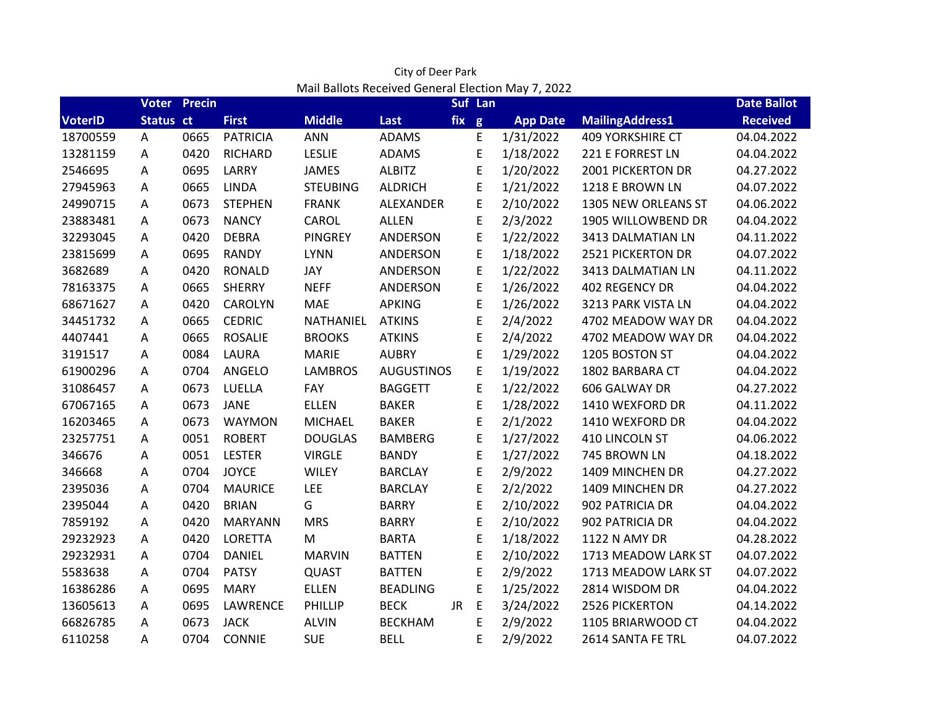|                |           | <b>Voter Precin</b> |                 |                 |                   |     | Suf Lan     | Mail Ballots Received General Election May 7, 2022 |                          | <b>Date Ballot</b> |
|----------------|-----------|---------------------|-----------------|-----------------|-------------------|-----|-------------|----------------------------------------------------|--------------------------|--------------------|
| <b>VoterID</b> | Status ct |                     | <b>First</b>    | <b>Middle</b>   | Last              | fix | g           | <b>App Date</b>                                    | <b>MailingAddress1</b>   | <b>Received</b>    |
| 18700559       | А         | 0665                | <b>PATRICIA</b> | <b>ANN</b>      | <b>ADAMS</b>      |     | E           | 1/31/2022                                          | <b>409 YORKSHIRE CT</b>  | 04.04.2022         |
| 13281159       | Α         | 0420                | <b>RICHARD</b>  | <b>LESLIE</b>   | <b>ADAMS</b>      |     | E           | 1/18/2022                                          | 221 E FORREST LN         | 04.04.2022         |
| 2546695        | A         | 0695                | LARRY           | <b>JAMES</b>    | <b>ALBITZ</b>     |     | E           | 1/20/2022                                          | <b>2001 PICKERTON DR</b> | 04.27.2022         |
| 27945963       | A         | 0665                | <b>LINDA</b>    | <b>STEUBING</b> | <b>ALDRICH</b>    |     | E           | 1/21/2022                                          | 1218 E BROWN LN          | 04.07.2022         |
| 24990715       | Α         | 0673                | <b>STEPHEN</b>  | <b>FRANK</b>    | ALEXANDER         |     | E           | 2/10/2022                                          | 1305 NEW ORLEANS ST      | 04.06.2022         |
| 23883481       | А         | 0673                | <b>NANCY</b>    | CAROL           | <b>ALLEN</b>      |     | E           | 2/3/2022                                           | 1905 WILLOWBEND DR       | 04.04.2022         |
| 32293045       | A         | 0420                | <b>DEBRA</b>    | <b>PINGREY</b>  | ANDERSON          |     | E           | 1/22/2022                                          | 3413 DALMATIAN LN        | 04.11.2022         |
| 23815699       | Α         | 0695                | <b>RANDY</b>    | <b>LYNN</b>     | ANDERSON          |     | E           | 1/18/2022                                          | <b>2521 PICKERTON DR</b> | 04.07.2022         |
| 3682689        | Α         | 0420                | <b>RONALD</b>   | JAY             | ANDERSON          |     | E           | 1/22/2022                                          | 3413 DALMATIAN LN        | 04.11.2022         |
| 78163375       | Α         | 0665                | <b>SHERRY</b>   | <b>NEFF</b>     | ANDERSON          |     | E           | 1/26/2022                                          | 402 REGENCY DR           | 04.04.2022         |
| 68671627       | A         | 0420                | <b>CAROLYN</b>  | <b>MAE</b>      | <b>APKING</b>     |     | E           | 1/26/2022                                          | 3213 PARK VISTA LN       | 04.04.2022         |
| 34451732       | A         | 0665                | <b>CEDRIC</b>   | NATHANIEL       | <b>ATKINS</b>     |     | $\mathsf E$ | 2/4/2022                                           | 4702 MEADOW WAY DR       | 04.04.2022         |
| 4407441        | A         | 0665                | <b>ROSALIE</b>  | <b>BROOKS</b>   | <b>ATKINS</b>     |     | E           | 2/4/2022                                           | 4702 MEADOW WAY DR       | 04.04.2022         |
| 3191517        | Α         | 0084                | <b>LAURA</b>    | <b>MARIE</b>    | <b>AUBRY</b>      |     | E           | 1/29/2022                                          | 1205 BOSTON ST           | 04.04.2022         |
| 61900296       | A         | 0704                | ANGELO          | <b>LAMBROS</b>  | <b>AUGUSTINOS</b> |     | E           | 1/19/2022                                          | 1802 BARBARA CT          | 04.04.2022         |
| 31086457       | Α         | 0673                | LUELLA          | FAY             | <b>BAGGETT</b>    |     | E           | 1/22/2022                                          | 606 GALWAY DR            | 04.27.2022         |
| 67067165       | A         | 0673                | <b>JANE</b>     | <b>ELLEN</b>    | <b>BAKER</b>      |     | E           | 1/28/2022                                          | 1410 WEXFORD DR          | 04.11.2022         |
| 16203465       | A         | 0673                | <b>WAYMON</b>   | <b>MICHAEL</b>  | <b>BAKER</b>      |     | $\mathsf E$ | 2/1/2022                                           | 1410 WEXFORD DR          | 04.04.2022         |
| 23257751       | A         | 0051                | <b>ROBERT</b>   | <b>DOUGLAS</b>  | <b>BAMBERG</b>    |     | E           | 1/27/2022                                          | 410 LINCOLN ST           | 04.06.2022         |
| 346676         | Α         | 0051                | <b>LESTER</b>   | <b>VIRGLE</b>   | <b>BANDY</b>      |     | $\mathsf E$ | 1/27/2022                                          | 745 BROWN LN             | 04.18.2022         |
| 346668         | A         | 0704                | <b>JOYCE</b>    | <b>WILEY</b>    | <b>BARCLAY</b>    |     | E           | 2/9/2022                                           | 1409 MINCHEN DR          | 04.27.2022         |
| 2395036        | A         | 0704                | <b>MAURICE</b>  | LEE             | <b>BARCLAY</b>    |     | E           | 2/2/2022                                           | 1409 MINCHEN DR          | 04.27.2022         |
| 2395044        | A         | 0420                | <b>BRIAN</b>    | G               | <b>BARRY</b>      |     | E           | 2/10/2022                                          | 902 PATRICIA DR          | 04.04.2022         |
| 7859192        | A         | 0420                | <b>MARYANN</b>  | <b>MRS</b>      | <b>BARRY</b>      |     | E           | 2/10/2022                                          | 902 PATRICIA DR          | 04.04.2022         |
| 29232923       | A         | 0420                | <b>LORETTA</b>  | M               | <b>BARTA</b>      |     | E           | 1/18/2022                                          | 1122 N AMY DR            | 04.28.2022         |
| 29232931       | Α         | 0704                | <b>DANIEL</b>   | <b>MARVIN</b>   | <b>BATTEN</b>     |     | E           | 2/10/2022                                          | 1713 MEADOW LARK ST      | 04.07.2022         |
| 5583638        | Α         | 0704                | <b>PATSY</b>    | <b>QUAST</b>    | <b>BATTEN</b>     |     | E           | 2/9/2022                                           | 1713 MEADOW LARK ST      | 04.07.2022         |
| 16386286       | A         | 0695                | <b>MARY</b>     | <b>ELLEN</b>    | <b>BEADLING</b>   |     | E           | 1/25/2022                                          | 2814 WISDOM DR           | 04.04.2022         |
| 13605613       | A         | 0695                | LAWRENCE        | PHILLIP         | <b>BECK</b>       | JR  | E           | 3/24/2022                                          | 2526 PICKERTON           | 04.14.2022         |
| 66826785       | Α         | 0673                | <b>JACK</b>     | <b>ALVIN</b>    | <b>BECKHAM</b>    |     | E           | 2/9/2022                                           | 1105 BRIARWOOD CT        | 04.04.2022         |
| 6110258        | A         | 0704                | <b>CONNIE</b>   | <b>SUE</b>      | <b>BELL</b>       |     | Ε           | 2/9/2022                                           | 2614 SANTA FE TRL        | 04.07.2022         |

Mail Ballots Received General Election May 7, 2022 City of Deer Park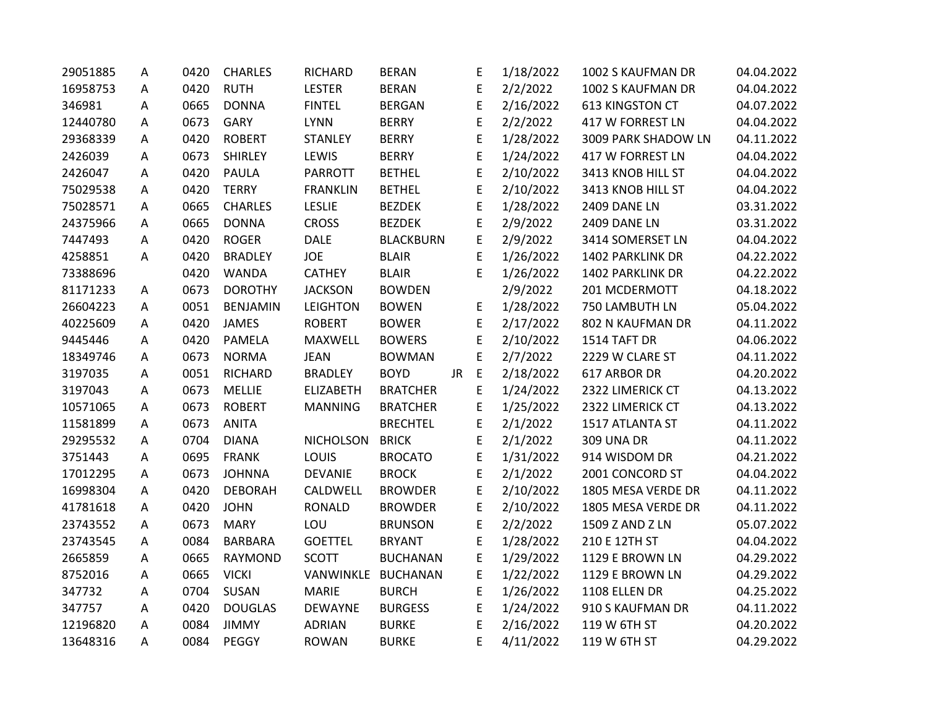| 29051885 | А | 0420 | <b>CHARLES</b>  | RICHARD          | <b>BERAN</b>     |     | E           | 1/18/2022 | 1002 S KAUFMAN DR   | 04.04.2022 |
|----------|---|------|-----------------|------------------|------------------|-----|-------------|-----------|---------------------|------------|
| 16958753 | A | 0420 | <b>RUTH</b>     | <b>LESTER</b>    | <b>BERAN</b>     |     | E           | 2/2/2022  | 1002 S KAUFMAN DR   | 04.04.2022 |
| 346981   | A | 0665 | <b>DONNA</b>    | <b>FINTEL</b>    | <b>BERGAN</b>    |     | E           | 2/16/2022 | 613 KINGSTON CT     | 04.07.2022 |
| 12440780 | A | 0673 | GARY            | <b>LYNN</b>      | <b>BERRY</b>     |     | E           | 2/2/2022  | 417 W FORREST LN    | 04.04.2022 |
| 29368339 | A | 0420 | <b>ROBERT</b>   | STANLEY          | <b>BERRY</b>     |     | E           | 1/28/2022 | 3009 PARK SHADOW LN | 04.11.2022 |
| 2426039  | A | 0673 | <b>SHIRLEY</b>  | LEWIS            | <b>BERRY</b>     |     | E           | 1/24/2022 | 417 W FORREST LN    | 04.04.2022 |
| 2426047  | Α | 0420 | <b>PAULA</b>    | <b>PARROTT</b>   | <b>BETHEL</b>    |     | E           | 2/10/2022 | 3413 KNOB HILL ST   | 04.04.2022 |
| 75029538 | Α | 0420 | <b>TERRY</b>    | <b>FRANKLIN</b>  | <b>BETHEL</b>    |     | E           | 2/10/2022 | 3413 KNOB HILL ST   | 04.04.2022 |
| 75028571 | A | 0665 | <b>CHARLES</b>  | <b>LESLIE</b>    | <b>BEZDEK</b>    |     | E           | 1/28/2022 | 2409 DANE LN        | 03.31.2022 |
| 24375966 | Α | 0665 | <b>DONNA</b>    | <b>CROSS</b>     | <b>BEZDEK</b>    |     | E           | 2/9/2022  | 2409 DANE LN        | 03.31.2022 |
| 7447493  | Α | 0420 | <b>ROGER</b>    | <b>DALE</b>      | <b>BLACKBURN</b> |     | E           | 2/9/2022  | 3414 SOMERSET LN    | 04.04.2022 |
| 4258851  | A | 0420 | <b>BRADLEY</b>  | <b>JOE</b>       | <b>BLAIR</b>     |     | E           | 1/26/2022 | 1402 PARKLINK DR    | 04.22.2022 |
| 73388696 |   | 0420 | <b>WANDA</b>    | <b>CATHEY</b>    | <b>BLAIR</b>     |     | E           | 1/26/2022 | 1402 PARKLINK DR    | 04.22.2022 |
| 81171233 | Α | 0673 | <b>DOROTHY</b>  | <b>JACKSON</b>   | <b>BOWDEN</b>    |     |             | 2/9/2022  | 201 MCDERMOTT       | 04.18.2022 |
| 26604223 | A | 0051 | <b>BENJAMIN</b> | <b>LEIGHTON</b>  | <b>BOWEN</b>     |     | E           | 1/28/2022 | 750 LAMBUTH LN      | 05.04.2022 |
| 40225609 | Α | 0420 | <b>JAMES</b>    | <b>ROBERT</b>    | <b>BOWER</b>     |     | E           | 2/17/2022 | 802 N KAUFMAN DR    | 04.11.2022 |
| 9445446  | A | 0420 | <b>PAMELA</b>   | <b>MAXWELL</b>   | <b>BOWERS</b>    |     | E           | 2/10/2022 | 1514 TAFT DR        | 04.06.2022 |
| 18349746 | A | 0673 | <b>NORMA</b>    | <b>JEAN</b>      | <b>BOWMAN</b>    |     | E           | 2/7/2022  | 2229 W CLARE ST     | 04.11.2022 |
| 3197035  | А | 0051 | <b>RICHARD</b>  | <b>BRADLEY</b>   | <b>BOYD</b>      | JR. | $\mathsf E$ | 2/18/2022 | 617 ARBOR DR        | 04.20.2022 |
| 3197043  | Α | 0673 | <b>MELLIE</b>   | <b>ELIZABETH</b> | <b>BRATCHER</b>  |     | E           | 1/24/2022 | 2322 LIMERICK CT    | 04.13.2022 |
| 10571065 | A | 0673 | <b>ROBERT</b>   | <b>MANNING</b>   | <b>BRATCHER</b>  |     | E           | 1/25/2022 | 2322 LIMERICK CT    | 04.13.2022 |
| 11581899 | Α | 0673 | <b>ANITA</b>    |                  | <b>BRECHTEL</b>  |     | E           | 2/1/2022  | 1517 ATLANTA ST     | 04.11.2022 |
| 29295532 | Α | 0704 | <b>DIANA</b>    | <b>NICHOLSON</b> | <b>BRICK</b>     |     | E           | 2/1/2022  | <b>309 UNA DR</b>   | 04.11.2022 |
| 3751443  | A | 0695 | <b>FRANK</b>    | LOUIS            | <b>BROCATO</b>   |     | E           | 1/31/2022 | 914 WISDOM DR       | 04.21.2022 |
| 17012295 | Α | 0673 | <b>JOHNNA</b>   | <b>DEVANIE</b>   | <b>BROCK</b>     |     | E           | 2/1/2022  | 2001 CONCORD ST     | 04.04.2022 |
| 16998304 | А | 0420 | <b>DEBORAH</b>  | CALDWELL         | <b>BROWDER</b>   |     | E           | 2/10/2022 | 1805 MESA VERDE DR  | 04.11.2022 |
| 41781618 | A | 0420 | <b>JOHN</b>     | <b>RONALD</b>    | <b>BROWDER</b>   |     | E           | 2/10/2022 | 1805 MESA VERDE DR  | 04.11.2022 |
| 23743552 | Α | 0673 | <b>MARY</b>     | LOU              | <b>BRUNSON</b>   |     | E           | 2/2/2022  | 1509 Z AND Z LN     | 05.07.2022 |
| 23743545 | Α | 0084 | <b>BARBARA</b>  | <b>GOETTEL</b>   | <b>BRYANT</b>    |     | E           | 1/28/2022 | 210 E 12TH ST       | 04.04.2022 |
| 2665859  | A | 0665 | RAYMOND         | <b>SCOTT</b>     | <b>BUCHANAN</b>  |     | E           | 1/29/2022 | 1129 E BROWN LN     | 04.29.2022 |
| 8752016  | A | 0665 | <b>VICKI</b>    | VANWINKLE        | <b>BUCHANAN</b>  |     | E           | 1/22/2022 | 1129 E BROWN LN     | 04.29.2022 |
| 347732   | А | 0704 | <b>SUSAN</b>    | <b>MARIE</b>     | <b>BURCH</b>     |     | E           | 1/26/2022 | 1108 ELLEN DR       | 04.25.2022 |
| 347757   | Α | 0420 | <b>DOUGLAS</b>  | DEWAYNE          | <b>BURGESS</b>   |     | E           | 1/24/2022 | 910 S KAUFMAN DR    | 04.11.2022 |
| 12196820 | Α | 0084 | <b>JIMMY</b>    | <b>ADRIAN</b>    | <b>BURKE</b>     |     | E           | 2/16/2022 | 119 W 6TH ST        | 04.20.2022 |
| 13648316 | A | 0084 | PEGGY           | <b>ROWAN</b>     | <b>BURKE</b>     |     | E           | 4/11/2022 | 119 W 6TH ST        | 04.29.2022 |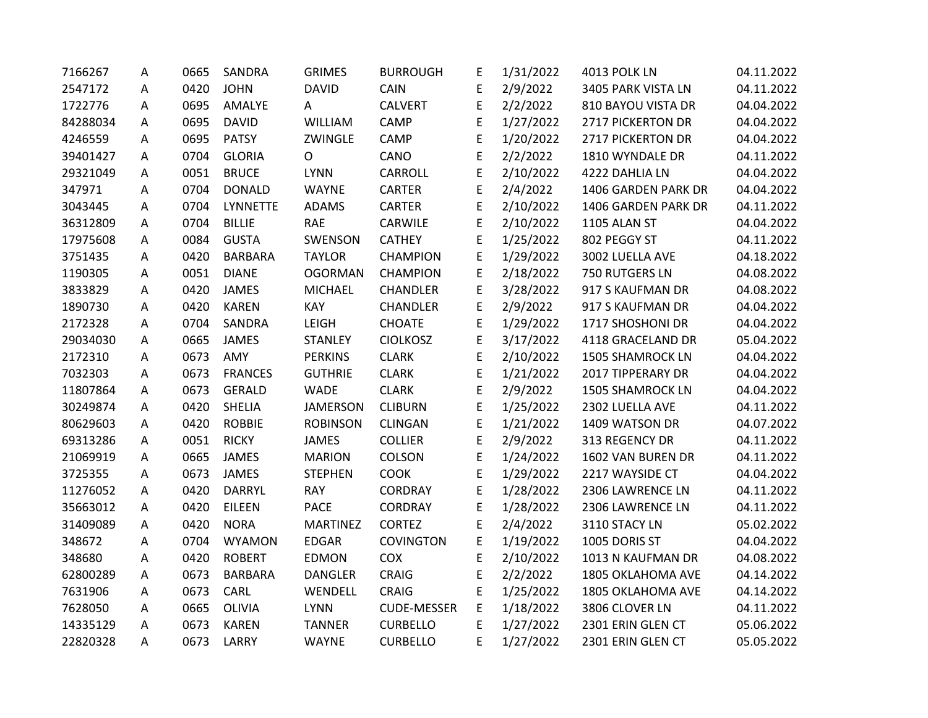| 7166267  | Α | 0665 | SANDRA          | <b>GRIMES</b>   | <b>BURROUGH</b>    | E | 1/31/2022 | 4013 POLK LN            | 04.11.2022 |
|----------|---|------|-----------------|-----------------|--------------------|---|-----------|-------------------------|------------|
| 2547172  | A | 0420 | <b>JOHN</b>     | <b>DAVID</b>    | CAIN               | E | 2/9/2022  | 3405 PARK VISTA LN      | 04.11.2022 |
| 1722776  | A | 0695 | AMALYE          | A               | <b>CALVERT</b>     | E | 2/2/2022  | 810 BAYOU VISTA DR      | 04.04.2022 |
| 84288034 | A | 0695 | <b>DAVID</b>    | <b>WILLIAM</b>  | CAMP               | E | 1/27/2022 | 2717 PICKERTON DR       | 04.04.2022 |
| 4246559  | А | 0695 | <b>PATSY</b>    | ZWINGLE         | <b>CAMP</b>        | E | 1/20/2022 | 2717 PICKERTON DR       | 04.04.2022 |
| 39401427 | Α | 0704 | <b>GLORIA</b>   | $\Omega$        | CANO               | E | 2/2/2022  | 1810 WYNDALE DR         | 04.11.2022 |
| 29321049 | A | 0051 | <b>BRUCE</b>    | <b>LYNN</b>     | CARROLL            | E | 2/10/2022 | 4222 DAHLIA LN          | 04.04.2022 |
| 347971   | A | 0704 | <b>DONALD</b>   | WAYNE           | CARTER             | E | 2/4/2022  | 1406 GARDEN PARK DR     | 04.04.2022 |
| 3043445  | Α | 0704 | <b>LYNNETTE</b> | <b>ADAMS</b>    | <b>CARTER</b>      | E | 2/10/2022 | 1406 GARDEN PARK DR     | 04.11.2022 |
| 36312809 | A | 0704 | <b>BILLIE</b>   | <b>RAE</b>      | CARWILE            | E | 2/10/2022 | 1105 ALAN ST            | 04.04.2022 |
| 17975608 | A | 0084 | <b>GUSTA</b>    | SWENSON         | <b>CATHEY</b>      | E | 1/25/2022 | 802 PEGGY ST            | 04.11.2022 |
| 3751435  | Α | 0420 | <b>BARBARA</b>  | <b>TAYLOR</b>   | <b>CHAMPION</b>    | E | 1/29/2022 | 3002 LUELLA AVE         | 04.18.2022 |
| 1190305  | А | 0051 | <b>DIANE</b>    | <b>OGORMAN</b>  | <b>CHAMPION</b>    | E | 2/18/2022 | 750 RUTGERS LN          | 04.08.2022 |
| 3833829  | А | 0420 | <b>JAMES</b>    | <b>MICHAEL</b>  | <b>CHANDLER</b>    | E | 3/28/2022 | 917 S KAUFMAN DR        | 04.08.2022 |
| 1890730  | A | 0420 | <b>KAREN</b>    | KAY             | CHANDLER           | E | 2/9/2022  | 917 S KAUFMAN DR        | 04.04.2022 |
| 2172328  | Α | 0704 | SANDRA          | LEIGH           | <b>CHOATE</b>      | E | 1/29/2022 | 1717 SHOSHONI DR        | 04.04.2022 |
| 29034030 | A | 0665 | <b>JAMES</b>    | <b>STANLEY</b>  | <b>CIOLKOSZ</b>    | E | 3/17/2022 | 4118 GRACELAND DR       | 05.04.2022 |
| 2172310  | A | 0673 | AMY             | <b>PERKINS</b>  | <b>CLARK</b>       | E | 2/10/2022 | <b>1505 SHAMROCK LN</b> | 04.04.2022 |
| 7032303  | Α | 0673 | <b>FRANCES</b>  | <b>GUTHRIE</b>  | <b>CLARK</b>       | E | 1/21/2022 | 2017 TIPPERARY DR       | 04.04.2022 |
| 11807864 | Α | 0673 | <b>GERALD</b>   | <b>WADE</b>     | <b>CLARK</b>       | E | 2/9/2022  | <b>1505 SHAMROCK LN</b> | 04.04.2022 |
| 30249874 | Α | 0420 | <b>SHELIA</b>   | <b>JAMERSON</b> | <b>CLIBURN</b>     | E | 1/25/2022 | 2302 LUELLA AVE         | 04.11.2022 |
| 80629603 | A | 0420 | <b>ROBBIE</b>   | <b>ROBINSON</b> | <b>CLINGAN</b>     | E | 1/21/2022 | 1409 WATSON DR          | 04.07.2022 |
| 69313286 | Α | 0051 | <b>RICKY</b>    | <b>JAMES</b>    | <b>COLLIER</b>     | E | 2/9/2022  | 313 REGENCY DR          | 04.11.2022 |
| 21069919 | A | 0665 | <b>JAMES</b>    | <b>MARION</b>   | <b>COLSON</b>      | E | 1/24/2022 | 1602 VAN BUREN DR       | 04.11.2022 |
| 3725355  | A | 0673 | <b>JAMES</b>    | <b>STEPHEN</b>  | <b>COOK</b>        | E | 1/29/2022 | 2217 WAYSIDE CT         | 04.04.2022 |
| 11276052 | Α | 0420 | <b>DARRYL</b>   | <b>RAY</b>      | CORDRAY            | E | 1/28/2022 | 2306 LAWRENCE LN        | 04.11.2022 |
| 35663012 | Α | 0420 | <b>EILEEN</b>   | <b>PACE</b>     | <b>CORDRAY</b>     | E | 1/28/2022 | 2306 LAWRENCE LN        | 04.11.2022 |
| 31409089 | A | 0420 | <b>NORA</b>     | <b>MARTINEZ</b> | <b>CORTEZ</b>      | E | 2/4/2022  | 3110 STACY LN           | 05.02.2022 |
| 348672   | A | 0704 | <b>WYAMON</b>   | <b>EDGAR</b>    | <b>COVINGTON</b>   | E | 1/19/2022 | 1005 DORIS ST           | 04.04.2022 |
| 348680   | А | 0420 | <b>ROBERT</b>   | <b>EDMON</b>    | <b>COX</b>         | E | 2/10/2022 | 1013 N KAUFMAN DR       | 04.08.2022 |
| 62800289 | A | 0673 | <b>BARBARA</b>  | <b>DANGLER</b>  | <b>CRAIG</b>       | E | 2/2/2022  | 1805 OKLAHOMA AVE       | 04.14.2022 |
| 7631906  | Α | 0673 | CARL            | WENDELL         | <b>CRAIG</b>       | E | 1/25/2022 | 1805 OKLAHOMA AVE       | 04.14.2022 |
| 7628050  | Α | 0665 | <b>OLIVIA</b>   | <b>LYNN</b>     | <b>CUDE-MESSER</b> | E | 1/18/2022 | 3806 CLOVER LN          | 04.11.2022 |
| 14335129 | А | 0673 | <b>KAREN</b>    | <b>TANNER</b>   | <b>CURBELLO</b>    | E | 1/27/2022 | 2301 ERIN GLEN CT       | 05.06.2022 |
| 22820328 | A | 0673 | LARRY           | <b>WAYNE</b>    | <b>CURBELLO</b>    | E | 1/27/2022 | 2301 ERIN GLEN CT       | 05.05.2022 |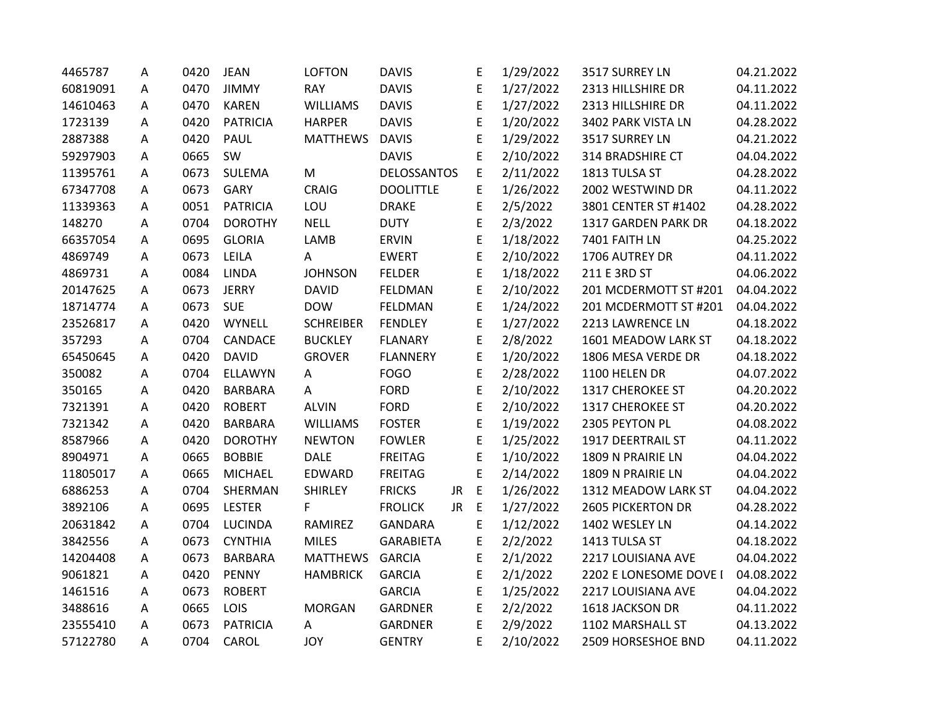| 4465787  | А | 0420 | <b>JEAN</b>     | <b>LOFTON</b>    | <b>DAVIS</b>       |           | E           | 1/29/2022 | 3517 SURREY LN           | 04.21.2022 |
|----------|---|------|-----------------|------------------|--------------------|-----------|-------------|-----------|--------------------------|------------|
| 60819091 | A | 0470 | <b>JIMMY</b>    | <b>RAY</b>       | <b>DAVIS</b>       |           | E           | 1/27/2022 | 2313 HILLSHIRE DR        | 04.11.2022 |
| 14610463 | A | 0470 | <b>KAREN</b>    | <b>WILLIAMS</b>  | <b>DAVIS</b>       |           | E           | 1/27/2022 | 2313 HILLSHIRE DR        | 04.11.2022 |
| 1723139  | A | 0420 | <b>PATRICIA</b> | <b>HARPER</b>    | <b>DAVIS</b>       |           | E           | 1/20/2022 | 3402 PARK VISTA LN       | 04.28.2022 |
| 2887388  | А | 0420 | <b>PAUL</b>     | <b>MATTHEWS</b>  | <b>DAVIS</b>       |           | E           | 1/29/2022 | 3517 SURREY LN           | 04.21.2022 |
| 59297903 | A | 0665 | SW              |                  | <b>DAVIS</b>       |           | E           | 2/10/2022 | 314 BRADSHIRE CT         | 04.04.2022 |
| 11395761 | Α | 0673 | SULEMA          | M                | <b>DELOSSANTOS</b> |           | E           | 2/11/2022 | 1813 TULSA ST            | 04.28.2022 |
| 67347708 | А | 0673 | <b>GARY</b>     | <b>CRAIG</b>     | <b>DOOLITTLE</b>   |           | E           | 1/26/2022 | 2002 WESTWIND DR         | 04.11.2022 |
| 11339363 | Α | 0051 | <b>PATRICIA</b> | LOU              | <b>DRAKE</b>       |           | E           | 2/5/2022  | 3801 CENTER ST #1402     | 04.28.2022 |
| 148270   | A | 0704 | <b>DOROTHY</b>  | <b>NELL</b>      | <b>DUTY</b>        |           | E           | 2/3/2022  | 1317 GARDEN PARK DR      | 04.18.2022 |
| 66357054 | А | 0695 | <b>GLORIA</b>   | LAMB             | <b>ERVIN</b>       |           | E           | 1/18/2022 | 7401 FAITH LN            | 04.25.2022 |
| 4869749  | А | 0673 | LEILA           | A                | <b>EWERT</b>       |           | E           | 2/10/2022 | 1706 AUTREY DR           | 04.11.2022 |
| 4869731  | A | 0084 | <b>LINDA</b>    | <b>JOHNSON</b>   | <b>FELDER</b>      |           | E           | 1/18/2022 | 211 E 3RD ST             | 04.06.2022 |
| 20147625 | Α | 0673 | <b>JERRY</b>    | <b>DAVID</b>     | FELDMAN            |           | E           | 2/10/2022 | 201 MCDERMOTT ST #201    | 04.04.2022 |
| 18714774 | A | 0673 | <b>SUE</b>      | <b>DOW</b>       | <b>FELDMAN</b>     |           | E           | 1/24/2022 | 201 MCDERMOTT ST #201    | 04.04.2022 |
| 23526817 | A | 0420 | WYNELL          | <b>SCHREIBER</b> | <b>FENDLEY</b>     |           | E           | 1/27/2022 | 2213 LAWRENCE LN         | 04.18.2022 |
| 357293   | A | 0704 | CANDACE         | <b>BUCKLEY</b>   | <b>FLANARY</b>     |           | E           | 2/8/2022  | 1601 MEADOW LARK ST      | 04.18.2022 |
| 65450645 | А | 0420 | <b>DAVID</b>    | <b>GROVER</b>    | <b>FLANNERY</b>    |           | E           | 1/20/2022 | 1806 MESA VERDE DR       | 04.18.2022 |
| 350082   | Α | 0704 | <b>ELLAWYN</b>  | A                | <b>FOGO</b>        |           | E           | 2/28/2022 | 1100 HELEN DR            | 04.07.2022 |
| 350165   | A | 0420 | <b>BARBARA</b>  | A                | <b>FORD</b>        |           | E           | 2/10/2022 | 1317 CHEROKEE ST         | 04.20.2022 |
| 7321391  | Α | 0420 | <b>ROBERT</b>   | <b>ALVIN</b>     | <b>FORD</b>        |           | E           | 2/10/2022 | 1317 CHEROKEE ST         | 04.20.2022 |
| 7321342  | Α | 0420 | <b>BARBARA</b>  | <b>WILLIAMS</b>  | <b>FOSTER</b>      |           | E           | 1/19/2022 | 2305 PEYTON PL           | 04.08.2022 |
| 8587966  | Α | 0420 | <b>DOROTHY</b>  | <b>NEWTON</b>    | <b>FOWLER</b>      |           | E           | 1/25/2022 | 1917 DEERTRAIL ST        | 04.11.2022 |
| 8904971  | Α | 0665 | <b>BOBBIE</b>   | <b>DALE</b>      | <b>FREITAG</b>     |           | E           | 1/10/2022 | 1809 N PRAIRIE LN        | 04.04.2022 |
| 11805017 | A | 0665 | <b>MICHAEL</b>  | EDWARD           | <b>FREITAG</b>     |           | E           | 2/14/2022 | 1809 N PRAIRIE LN        | 04.04.2022 |
| 6886253  | Α | 0704 | SHERMAN         | <b>SHIRLEY</b>   | <b>FRICKS</b>      | JR.       | $\mathsf E$ | 1/26/2022 | 1312 MEADOW LARK ST      | 04.04.2022 |
| 3892106  | А | 0695 | <b>LESTER</b>   | F                | <b>FROLICK</b>     | <b>JR</b> | $\mathsf E$ | 1/27/2022 | <b>2605 PICKERTON DR</b> | 04.28.2022 |
| 20631842 | Α | 0704 | <b>LUCINDA</b>  | RAMIREZ          | <b>GANDARA</b>     |           | E           | 1/12/2022 | 1402 WESLEY LN           | 04.14.2022 |
| 3842556  | A | 0673 | <b>CYNTHIA</b>  | <b>MILES</b>     | <b>GARABIETA</b>   |           | E           | 2/2/2022  | 1413 TULSA ST            | 04.18.2022 |
| 14204408 | A | 0673 | <b>BARBARA</b>  | <b>MATTHEWS</b>  | <b>GARCIA</b>      |           | E           | 2/1/2022  | 2217 LOUISIANA AVE       | 04.04.2022 |
| 9061821  | Α | 0420 | <b>PENNY</b>    | <b>HAMBRICK</b>  | <b>GARCIA</b>      |           | E           | 2/1/2022  | 2202 E LONESOME DOVE I   | 04.08.2022 |
| 1461516  | A | 0673 | <b>ROBERT</b>   |                  | <b>GARCIA</b>      |           | E           | 1/25/2022 | 2217 LOUISIANA AVE       | 04.04.2022 |
| 3488616  | Α | 0665 | LOIS            | <b>MORGAN</b>    | <b>GARDNER</b>     |           | E           | 2/2/2022  | 1618 JACKSON DR          | 04.11.2022 |
| 23555410 | А | 0673 | <b>PATRICIA</b> | A                | <b>GARDNER</b>     |           | E           | 2/9/2022  | 1102 MARSHALL ST         | 04.13.2022 |
| 57122780 | A | 0704 | CAROL           | <b>JOY</b>       | <b>GENTRY</b>      |           | E           | 2/10/2022 | 2509 HORSESHOE BND       | 04.11.2022 |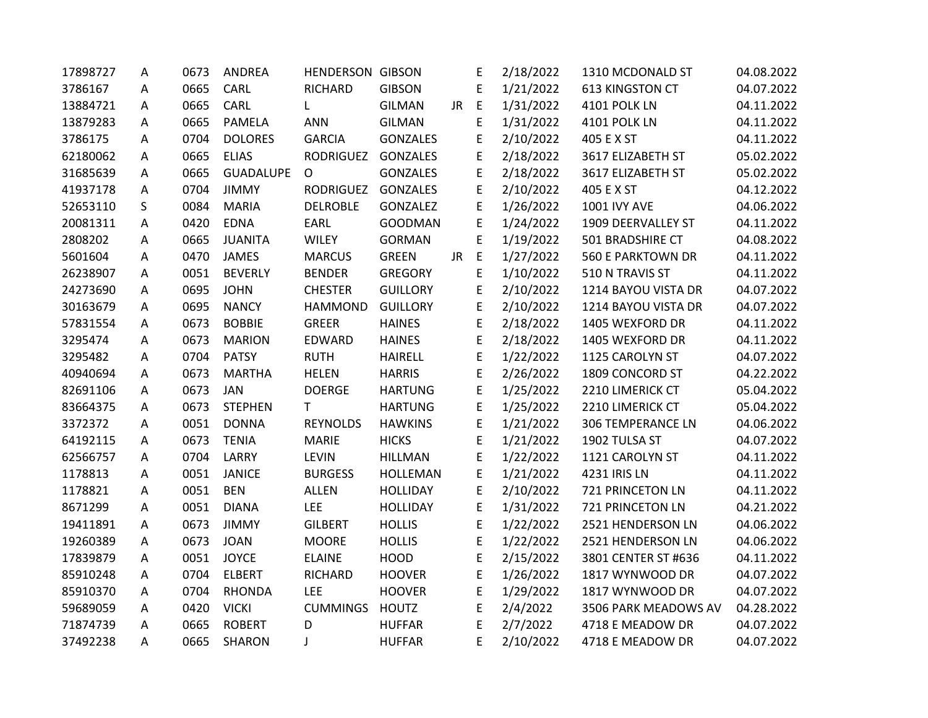| 17898727 | Α | 0673 | ANDREA           | <b>HENDERSON GIBSON</b> |                 |           | E           | 2/18/2022 | 1310 MCDONALD ST         | 04.08.2022 |
|----------|---|------|------------------|-------------------------|-----------------|-----------|-------------|-----------|--------------------------|------------|
| 3786167  | A | 0665 | CARL             | RICHARD                 | <b>GIBSON</b>   |           | E           | 1/21/2022 | 613 KINGSTON CT          | 04.07.2022 |
| 13884721 | A | 0665 | CARL             | L                       | <b>GILMAN</b>   | <b>JR</b> | $\mathsf E$ | 1/31/2022 | 4101 POLK LN             | 04.11.2022 |
| 13879283 | Α | 0665 | PAMELA           | <b>ANN</b>              | <b>GILMAN</b>   |           | E           | 1/31/2022 | 4101 POLK LN             | 04.11.2022 |
| 3786175  | A | 0704 | <b>DOLORES</b>   | <b>GARCIA</b>           | <b>GONZALES</b> |           | E           | 2/10/2022 | 405 E X ST               | 04.11.2022 |
| 62180062 | A | 0665 | <b>ELIAS</b>     | <b>RODRIGUEZ</b>        | GONZALES        |           | E           | 2/18/2022 | 3617 ELIZABETH ST        | 05.02.2022 |
| 31685639 | Α | 0665 | <b>GUADALUPE</b> | O                       | <b>GONZALES</b> |           | E           | 2/18/2022 | 3617 ELIZABETH ST        | 05.02.2022 |
| 41937178 | Α | 0704 | <b>JIMMY</b>     | <b>RODRIGUEZ</b>        | GONZALES        |           | E           | 2/10/2022 | 405 E X ST               | 04.12.2022 |
| 52653110 | S | 0084 | <b>MARIA</b>     | <b>DELROBLE</b>         | GONZALEZ        |           | E           | 1/26/2022 | <b>1001 IVY AVE</b>      | 04.06.2022 |
| 20081311 | Α | 0420 | <b>EDNA</b>      | EARL                    | <b>GOODMAN</b>  |           | E           | 1/24/2022 | 1909 DEERVALLEY ST       | 04.11.2022 |
| 2808202  | A | 0665 | <b>JUANITA</b>   | <b>WILEY</b>            | <b>GORMAN</b>   |           | E           | 1/19/2022 | 501 BRADSHIRE CT         | 04.08.2022 |
| 5601604  | A | 0470 | <b>JAMES</b>     | <b>MARCUS</b>           | <b>GREEN</b>    | JR.       | E           | 1/27/2022 | <b>560 E PARKTOWN DR</b> | 04.11.2022 |
| 26238907 | Α | 0051 | <b>BEVERLY</b>   | <b>BENDER</b>           | <b>GREGORY</b>  |           | E           | 1/10/2022 | 510 N TRAVIS ST          | 04.11.2022 |
| 24273690 | Α | 0695 | <b>JOHN</b>      | <b>CHESTER</b>          | <b>GUILLORY</b> |           | E           | 2/10/2022 | 1214 BAYOU VISTA DR      | 04.07.2022 |
| 30163679 | Α | 0695 | <b>NANCY</b>     | <b>HAMMOND</b>          | <b>GUILLORY</b> |           | E           | 2/10/2022 | 1214 BAYOU VISTA DR      | 04.07.2022 |
| 57831554 | Α | 0673 | <b>BOBBIE</b>    | <b>GREER</b>            | <b>HAINES</b>   |           | E           | 2/18/2022 | 1405 WEXFORD DR          | 04.11.2022 |
| 3295474  | A | 0673 | <b>MARION</b>    | EDWARD                  | <b>HAINES</b>   |           | E           | 2/18/2022 | 1405 WEXFORD DR          | 04.11.2022 |
| 3295482  | A | 0704 | <b>PATSY</b>     | <b>RUTH</b>             | <b>HAIRELL</b>  |           | E           | 1/22/2022 | 1125 CAROLYN ST          | 04.07.2022 |
| 40940694 | Α | 0673 | <b>MARTHA</b>    | <b>HELEN</b>            | <b>HARRIS</b>   |           | E           | 2/26/2022 | 1809 CONCORD ST          | 04.22.2022 |
| 82691106 | Α | 0673 | <b>JAN</b>       | <b>DOERGE</b>           | <b>HARTUNG</b>  |           | E           | 1/25/2022 | 2210 LIMERICK CT         | 05.04.2022 |
| 83664375 | A | 0673 | <b>STEPHEN</b>   | $\mathsf{T}$            | <b>HARTUNG</b>  |           | E           | 1/25/2022 | 2210 LIMERICK CT         | 05.04.2022 |
| 3372372  | Α | 0051 | <b>DONNA</b>     | <b>REYNOLDS</b>         | <b>HAWKINS</b>  |           | E           | 1/21/2022 | <b>306 TEMPERANCE LN</b> | 04.06.2022 |
| 64192115 | A | 0673 | <b>TENIA</b>     | <b>MARIE</b>            | <b>HICKS</b>    |           | E           | 1/21/2022 | 1902 TULSA ST            | 04.07.2022 |
| 62566757 | A | 0704 | LARRY            | <b>LEVIN</b>            | <b>HILLMAN</b>  |           | E           | 1/22/2022 | 1121 CAROLYN ST          | 04.11.2022 |
| 1178813  | А | 0051 | <b>JANICE</b>    | <b>BURGESS</b>          | <b>HOLLEMAN</b> |           | E           | 1/21/2022 | 4231 IRIS LN             | 04.11.2022 |
| 1178821  | А | 0051 | <b>BEN</b>       | <b>ALLEN</b>            | <b>HOLLIDAY</b> |           | E           | 2/10/2022 | 721 PRINCETON LN         | 04.11.2022 |
| 8671299  | Α | 0051 | <b>DIANA</b>     | LEE                     | <b>HOLLIDAY</b> |           | E           | 1/31/2022 | 721 PRINCETON LN         | 04.21.2022 |
| 19411891 | Α | 0673 | <b>JIMMY</b>     | <b>GILBERT</b>          | <b>HOLLIS</b>   |           | E           | 1/22/2022 | 2521 HENDERSON LN        | 04.06.2022 |
| 19260389 | Α | 0673 | <b>JOAN</b>      | <b>MOORE</b>            | <b>HOLLIS</b>   |           | E           | 1/22/2022 | 2521 HENDERSON LN        | 04.06.2022 |
| 17839879 | A | 0051 | <b>JOYCE</b>     | <b>ELAINE</b>           | <b>HOOD</b>     |           | E           | 2/15/2022 | 3801 CENTER ST #636      | 04.11.2022 |
| 85910248 | A | 0704 | <b>ELBERT</b>    | RICHARD                 | <b>HOOVER</b>   |           | E           | 1/26/2022 | 1817 WYNWOOD DR          | 04.07.2022 |
| 85910370 | A | 0704 | <b>RHONDA</b>    | LEE                     | <b>HOOVER</b>   |           | E           | 1/29/2022 | 1817 WYNWOOD DR          | 04.07.2022 |
| 59689059 | A | 0420 | <b>VICKI</b>     | <b>CUMMINGS</b>         | <b>HOUTZ</b>    |           | E           | 2/4/2022  | 3506 PARK MEADOWS AV     | 04.28.2022 |
| 71874739 | Α | 0665 | <b>ROBERT</b>    | D                       | <b>HUFFAR</b>   |           | E           | 2/7/2022  | 4718 E MEADOW DR         | 04.07.2022 |
| 37492238 | A | 0665 | <b>SHARON</b>    | J                       | <b>HUFFAR</b>   |           | E           | 2/10/2022 | 4718 E MEADOW DR         | 04.07.2022 |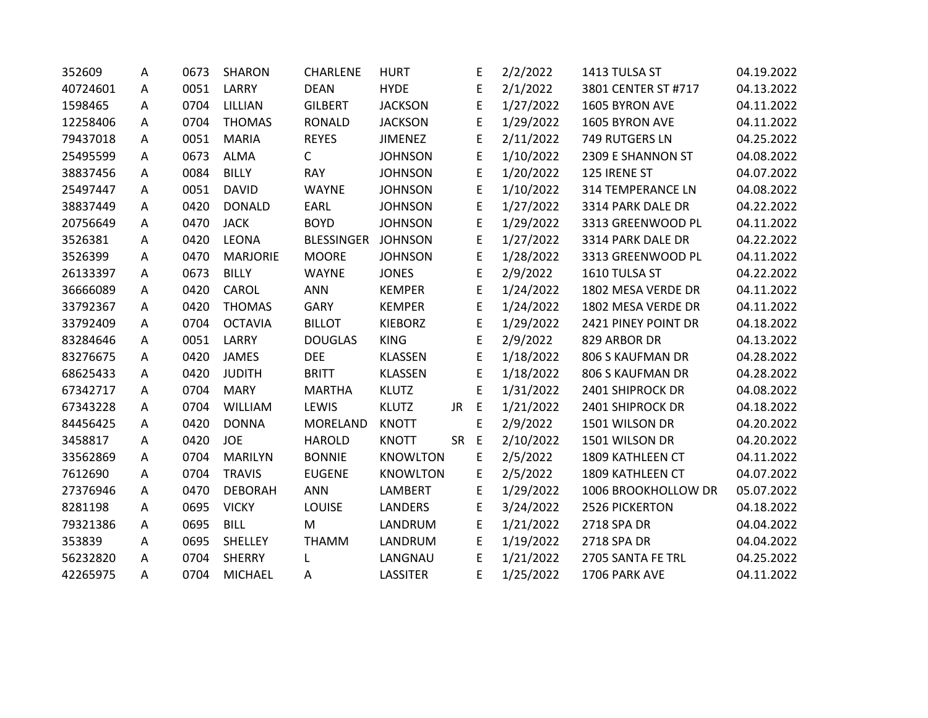| 352609   | Α | 0673 | <b>SHARON</b>   | CHARLENE          | <b>HURT</b>     |           | E           | 2/2/2022  | 1413 TULSA ST            | 04.19.2022 |
|----------|---|------|-----------------|-------------------|-----------------|-----------|-------------|-----------|--------------------------|------------|
| 40724601 | A | 0051 | LARRY           | <b>DEAN</b>       | <b>HYDE</b>     |           | E           | 2/1/2022  | 3801 CENTER ST #717      | 04.13.2022 |
| 1598465  | A | 0704 | LILLIAN         | <b>GILBERT</b>    | <b>JACKSON</b>  |           | E           | 1/27/2022 | 1605 BYRON AVE           | 04.11.2022 |
| 12258406 | A | 0704 | <b>THOMAS</b>   | RONALD            | <b>JACKSON</b>  |           | E           | 1/29/2022 | 1605 BYRON AVE           | 04.11.2022 |
| 79437018 | A | 0051 | <b>MARIA</b>    | <b>REYES</b>      | <b>JIMENEZ</b>  |           | E           | 2/11/2022 | 749 RUTGERS LN           | 04.25.2022 |
| 25495599 | A | 0673 | <b>ALMA</b>     | C                 | <b>JOHNSON</b>  |           | E           | 1/10/2022 | 2309 E SHANNON ST        | 04.08.2022 |
| 38837456 | Α | 0084 | <b>BILLY</b>    | <b>RAY</b>        | <b>JOHNSON</b>  |           | E           | 1/20/2022 | 125 IRENE ST             | 04.07.2022 |
| 25497447 | A | 0051 | <b>DAVID</b>    | <b>WAYNE</b>      | <b>JOHNSON</b>  |           | E           | 1/10/2022 | <b>314 TEMPERANCE LN</b> | 04.08.2022 |
| 38837449 | A | 0420 | <b>DONALD</b>   | EARL              | <b>JOHNSON</b>  |           | E           | 1/27/2022 | 3314 PARK DALE DR        | 04.22.2022 |
| 20756649 | A | 0470 | <b>JACK</b>     | <b>BOYD</b>       | <b>JOHNSON</b>  |           | E           | 1/29/2022 | 3313 GREENWOOD PL        | 04.11.2022 |
| 3526381  | Α | 0420 | <b>LEONA</b>    | <b>BLESSINGER</b> | <b>JOHNSON</b>  |           | E           | 1/27/2022 | 3314 PARK DALE DR        | 04.22.2022 |
| 3526399  | Α | 0470 | <b>MARJORIE</b> | <b>MOORE</b>      | <b>JOHNSON</b>  |           | E           | 1/28/2022 | 3313 GREENWOOD PL        | 04.11.2022 |
| 26133397 | A | 0673 | <b>BILLY</b>    | <b>WAYNE</b>      | <b>JONES</b>    |           | E           | 2/9/2022  | 1610 TULSA ST            | 04.22.2022 |
| 36666089 | A | 0420 | CAROL           | <b>ANN</b>        | <b>KEMPER</b>   |           | E           | 1/24/2022 | 1802 MESA VERDE DR       | 04.11.2022 |
| 33792367 | A | 0420 | <b>THOMAS</b>   | GARY              | <b>KEMPER</b>   |           | E           | 1/24/2022 | 1802 MESA VERDE DR       | 04.11.2022 |
| 33792409 | A | 0704 | <b>OCTAVIA</b>  | <b>BILLOT</b>     | <b>KIEBORZ</b>  |           | E           | 1/29/2022 | 2421 PINEY POINT DR      | 04.18.2022 |
| 83284646 | Α | 0051 | LARRY           | <b>DOUGLAS</b>    | <b>KING</b>     |           | E           | 2/9/2022  | 829 ARBOR DR             | 04.13.2022 |
| 83276675 | Α | 0420 | <b>JAMES</b>    | <b>DEE</b>        | <b>KLASSEN</b>  |           | E           | 1/18/2022 | 806 S KAUFMAN DR         | 04.28.2022 |
| 68625433 | A | 0420 | <b>JUDITH</b>   | <b>BRITT</b>      | <b>KLASSEN</b>  |           | E           | 1/18/2022 | 806 S KAUFMAN DR         | 04.28.2022 |
| 67342717 | Α | 0704 | <b>MARY</b>     | <b>MARTHA</b>     | <b>KLUTZ</b>    |           | E           | 1/31/2022 | 2401 SHIPROCK DR         | 04.08.2022 |
| 67343228 | A | 0704 | WILLIAM         | LEWIS             | <b>KLUTZ</b>    | JR.       | $\mathsf E$ | 1/21/2022 | 2401 SHIPROCK DR         | 04.18.2022 |
| 84456425 | A | 0420 | <b>DONNA</b>    | <b>MORELAND</b>   | <b>KNOTT</b>    |           | E           | 2/9/2022  | 1501 WILSON DR           | 04.20.2022 |
| 3458817  | A | 0420 | <b>JOE</b>      | <b>HAROLD</b>     | <b>KNOTT</b>    | <b>SR</b> | E           | 2/10/2022 | 1501 WILSON DR           | 04.20.2022 |
| 33562869 | Α | 0704 | <b>MARILYN</b>  | <b>BONNIE</b>     | <b>KNOWLTON</b> |           | E           | 2/5/2022  | 1809 KATHLEEN CT         | 04.11.2022 |
| 7612690  | Α | 0704 | <b>TRAVIS</b>   | <b>EUGENE</b>     | <b>KNOWLTON</b> |           | E           | 2/5/2022  | 1809 KATHLEEN CT         | 04.07.2022 |
| 27376946 | A | 0470 | <b>DEBORAH</b>  | <b>ANN</b>        | <b>LAMBERT</b>  |           | E           | 1/29/2022 | 1006 BROOKHOLLOW DR      | 05.07.2022 |
| 8281198  | Α | 0695 | <b>VICKY</b>    | <b>LOUISE</b>     | <b>LANDERS</b>  |           | E           | 3/24/2022 | 2526 PICKERTON           | 04.18.2022 |
| 79321386 | A | 0695 | <b>BILL</b>     | M                 | LANDRUM         |           | E           | 1/21/2022 | 2718 SPA DR              | 04.04.2022 |
| 353839   | A | 0695 | SHELLEY         | <b>THAMM</b>      | LANDRUM         |           | E           | 1/19/2022 | 2718 SPA DR              | 04.04.2022 |
| 56232820 | A | 0704 | <b>SHERRY</b>   | L                 | LANGNAU         |           | E           | 1/21/2022 | 2705 SANTA FE TRL        | 04.25.2022 |
| 42265975 | A | 0704 | <b>MICHAEL</b>  | Α                 | <b>LASSITER</b> |           | E           | 1/25/2022 | 1706 PARK AVE            | 04.11.2022 |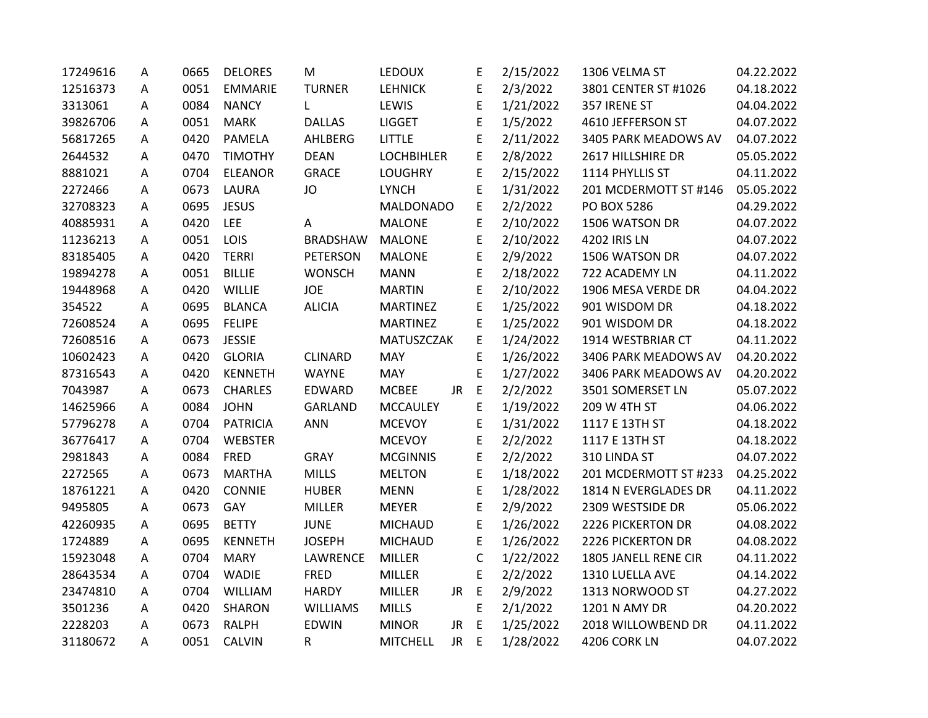| 17249616 | Α | 0665 | <b>DELORES</b>  | M               | <b>LEDOUX</b>     |     | E           | 2/15/2022 | 1306 VELMA ST         | 04.22.2022 |
|----------|---|------|-----------------|-----------------|-------------------|-----|-------------|-----------|-----------------------|------------|
| 12516373 | A | 0051 | <b>EMMARIE</b>  | <b>TURNER</b>   | <b>LEHNICK</b>    |     | E           | 2/3/2022  | 3801 CENTER ST #1026  | 04.18.2022 |
| 3313061  | A | 0084 | <b>NANCY</b>    | L               | LEWIS             |     | E           | 1/21/2022 | 357 IRENE ST          | 04.04.2022 |
| 39826706 | A | 0051 | <b>MARK</b>     | <b>DALLAS</b>   | <b>LIGGET</b>     |     | E           | 1/5/2022  | 4610 JEFFERSON ST     | 04.07.2022 |
| 56817265 | А | 0420 | PAMELA          | AHLBERG         | <b>LITTLE</b>     |     | E           | 2/11/2022 | 3405 PARK MEADOWS AV  | 04.07.2022 |
| 2644532  | А | 0470 | <b>TIMOTHY</b>  | <b>DEAN</b>     | <b>LOCHBIHLER</b> |     | E           | 2/8/2022  | 2617 HILLSHIRE DR     | 05.05.2022 |
| 8881021  | A | 0704 | <b>ELEANOR</b>  | <b>GRACE</b>    | <b>LOUGHRY</b>    |     | E           | 2/15/2022 | 1114 PHYLLIS ST       | 04.11.2022 |
| 2272466  | Α | 0673 | LAURA           | JO              | <b>LYNCH</b>      |     | E           | 1/31/2022 | 201 MCDERMOTT ST #146 | 05.05.2022 |
| 32708323 | Α | 0695 | <b>JESUS</b>    |                 | <b>MALDONADO</b>  |     | E           | 2/2/2022  | PO BOX 5286           | 04.29.2022 |
| 40885931 | A | 0420 | LEE             | A               | <b>MALONE</b>     |     | E           | 2/10/2022 | 1506 WATSON DR        | 04.07.2022 |
| 11236213 | A | 0051 | LOIS            | <b>BRADSHAW</b> | <b>MALONE</b>     |     | E           | 2/10/2022 | 4202 IRIS LN          | 04.07.2022 |
| 83185405 | А | 0420 | <b>TERRI</b>    | <b>PETERSON</b> | <b>MALONE</b>     |     | E           | 2/9/2022  | 1506 WATSON DR        | 04.07.2022 |
| 19894278 | Α | 0051 | <b>BILLIE</b>   | <b>WONSCH</b>   | <b>MANN</b>       |     | E           | 2/18/2022 | 722 ACADEMY LN        | 04.11.2022 |
| 19448968 | А | 0420 | WILLIE          | <b>JOE</b>      | <b>MARTIN</b>     |     | E           | 2/10/2022 | 1906 MESA VERDE DR    | 04.04.2022 |
| 354522   | А | 0695 | <b>BLANCA</b>   | <b>ALICIA</b>   | <b>MARTINEZ</b>   |     | E           | 1/25/2022 | 901 WISDOM DR         | 04.18.2022 |
| 72608524 | A | 0695 | <b>FELIPE</b>   |                 | <b>MARTINEZ</b>   |     | E           | 1/25/2022 | 901 WISDOM DR         | 04.18.2022 |
| 72608516 | A | 0673 | <b>JESSIE</b>   |                 | MATUSZCZAK        |     | E           | 1/24/2022 | 1914 WESTBRIAR CT     | 04.11.2022 |
| 10602423 | A | 0420 | <b>GLORIA</b>   | <b>CLINARD</b>  | <b>MAY</b>        |     | E           | 1/26/2022 | 3406 PARK MEADOWS AV  | 04.20.2022 |
| 87316543 | А | 0420 | <b>KENNETH</b>  | <b>WAYNE</b>    | <b>MAY</b>        |     | E           | 1/27/2022 | 3406 PARK MEADOWS AV  | 04.20.2022 |
| 7043987  | A | 0673 | <b>CHARLES</b>  | EDWARD          | <b>MCBEE</b>      | JR  | $\mathsf E$ | 2/2/2022  | 3501 SOMERSET LN      | 05.07.2022 |
| 14625966 | Α | 0084 | <b>JOHN</b>     | <b>GARLAND</b>  | <b>MCCAULEY</b>   |     | E           | 1/19/2022 | 209 W 4TH ST          | 04.06.2022 |
| 57796278 | Α | 0704 | <b>PATRICIA</b> | <b>ANN</b>      | <b>MCEVOY</b>     |     | E           | 1/31/2022 | 1117 E 13TH ST        | 04.18.2022 |
| 36776417 | A | 0704 | WEBSTER         |                 | <b>MCEVOY</b>     |     | E           | 2/2/2022  | 1117 E 13TH ST        | 04.18.2022 |
| 2981843  | А | 0084 | <b>FRED</b>     | <b>GRAY</b>     | <b>MCGINNIS</b>   |     | E           | 2/2/2022  | 310 LINDA ST          | 04.07.2022 |
| 2272565  | A | 0673 | <b>MARTHA</b>   | <b>MILLS</b>    | <b>MELTON</b>     |     | E           | 1/18/2022 | 201 MCDERMOTT ST #233 | 04.25.2022 |
| 18761221 | Α | 0420 | CONNIE          | <b>HUBER</b>    | <b>MENN</b>       |     | E           | 1/28/2022 | 1814 N EVERGLADES DR  | 04.11.2022 |
| 9495805  | А | 0673 | GAY             | MILLER          | <b>MEYER</b>      |     | E           | 2/9/2022  | 2309 WESTSIDE DR      | 05.06.2022 |
| 42260935 | Α | 0695 | <b>BETTY</b>    | <b>JUNE</b>     | <b>MICHAUD</b>    |     | E           | 1/26/2022 | 2226 PICKERTON DR     | 04.08.2022 |
| 1724889  | Α | 0695 | <b>KENNETH</b>  | <b>JOSEPH</b>   | <b>MICHAUD</b>    |     | E           | 1/26/2022 | 2226 PICKERTON DR     | 04.08.2022 |
| 15923048 | A | 0704 | <b>MARY</b>     | LAWRENCE        | MILLER            |     | $\mathsf C$ | 1/22/2022 | 1805 JANELL RENE CIR  | 04.11.2022 |
| 28643534 | A | 0704 | <b>WADIE</b>    | <b>FRED</b>     | <b>MILLER</b>     |     | E           | 2/2/2022  | 1310 LUELLA AVE       | 04.14.2022 |
| 23474810 | Α | 0704 | WILLIAM         | <b>HARDY</b>    | <b>MILLER</b>     | JR  | $\mathsf E$ | 2/9/2022  | 1313 NORWOOD ST       | 04.27.2022 |
| 3501236  | A | 0420 | <b>SHARON</b>   | <b>WILLIAMS</b> | <b>MILLS</b>      |     | E           | 2/1/2022  | 1201 N AMY DR         | 04.20.2022 |
| 2228203  | А | 0673 | <b>RALPH</b>    | <b>EDWIN</b>    | <b>MINOR</b>      | JR. | $\mathsf E$ | 1/25/2022 | 2018 WILLOWBEND DR    | 04.11.2022 |
| 31180672 | А | 0051 | <b>CALVIN</b>   | R               | <b>MITCHELL</b>   | JR. | E           | 1/28/2022 | 4206 CORK LN          | 04.07.2022 |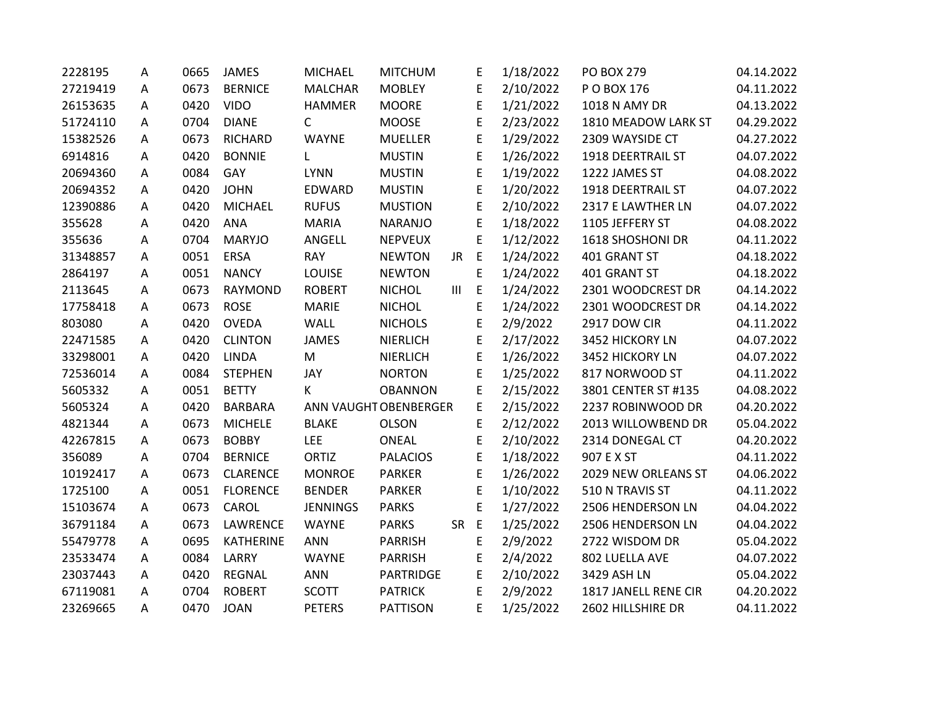| 2228195  | А | 0665 | <b>JAMES</b>     | MICHAEL         | <b>MITCHUM</b>        |                | E           | 1/18/2022 | <b>PO BOX 279</b>    | 04.14.2022 |
|----------|---|------|------------------|-----------------|-----------------------|----------------|-------------|-----------|----------------------|------------|
| 27219419 | A | 0673 | <b>BERNICE</b>   | <b>MALCHAR</b>  | <b>MOBLEY</b>         |                | E           | 2/10/2022 | P O BOX 176          | 04.11.2022 |
| 26153635 | А | 0420 | <b>VIDO</b>      | <b>HAMMER</b>   | <b>MOORE</b>          |                | E           | 1/21/2022 | 1018 N AMY DR        | 04.13.2022 |
| 51724110 | A | 0704 | <b>DIANE</b>     | $\mathsf{C}$    | <b>MOOSE</b>          |                | E           | 2/23/2022 | 1810 MEADOW LARK ST  | 04.29.2022 |
| 15382526 | Α | 0673 | <b>RICHARD</b>   | <b>WAYNE</b>    | <b>MUELLER</b>        |                | E           | 1/29/2022 | 2309 WAYSIDE CT      | 04.27.2022 |
| 6914816  | A | 0420 | <b>BONNIE</b>    | L               | <b>MUSTIN</b>         |                | E           | 1/26/2022 | 1918 DEERTRAIL ST    | 04.07.2022 |
| 20694360 | Α | 0084 | GAY              | <b>LYNN</b>     | <b>MUSTIN</b>         |                | E           | 1/19/2022 | 1222 JAMES ST        | 04.08.2022 |
| 20694352 | A | 0420 | <b>JOHN</b>      | EDWARD          | <b>MUSTIN</b>         |                | E           | 1/20/2022 | 1918 DEERTRAIL ST    | 04.07.2022 |
| 12390886 | Α | 0420 | <b>MICHAEL</b>   | <b>RUFUS</b>    | <b>MUSTION</b>        |                | E           | 2/10/2022 | 2317 E LAWTHER LN    | 04.07.2022 |
| 355628   | A | 0420 | <b>ANA</b>       | <b>MARIA</b>    | <b>NARANJO</b>        |                | E           | 1/18/2022 | 1105 JEFFERY ST      | 04.08.2022 |
| 355636   | А | 0704 | <b>MARYJO</b>    | ANGELL          | <b>NEPVEUX</b>        |                | E           | 1/12/2022 | 1618 SHOSHONI DR     | 04.11.2022 |
| 31348857 | Α | 0051 | <b>ERSA</b>      | <b>RAY</b>      | <b>NEWTON</b>         | JR             | E           | 1/24/2022 | 401 GRANT ST         | 04.18.2022 |
| 2864197  | Α | 0051 | <b>NANCY</b>     | <b>LOUISE</b>   | <b>NEWTON</b>         |                | E           | 1/24/2022 | 401 GRANT ST         | 04.18.2022 |
| 2113645  | А | 0673 | <b>RAYMOND</b>   | <b>ROBERT</b>   | <b>NICHOL</b>         | $\mathbf{III}$ | $\mathsf E$ | 1/24/2022 | 2301 WOODCREST DR    | 04.14.2022 |
| 17758418 | A | 0673 | <b>ROSE</b>      | <b>MARIE</b>    | <b>NICHOL</b>         |                | E           | 1/24/2022 | 2301 WOODCREST DR    | 04.14.2022 |
| 803080   | A | 0420 | <b>OVEDA</b>     | <b>WALL</b>     | <b>NICHOLS</b>        |                | E           | 2/9/2022  | <b>2917 DOW CIR</b>  | 04.11.2022 |
| 22471585 | Α | 0420 | <b>CLINTON</b>   | <b>JAMES</b>    | <b>NIERLICH</b>       |                | E           | 2/17/2022 | 3452 HICKORY LN      | 04.07.2022 |
| 33298001 | A | 0420 | <b>LINDA</b>     | M               | <b>NIERLICH</b>       |                | E           | 1/26/2022 | 3452 HICKORY LN      | 04.07.2022 |
| 72536014 | Α | 0084 | <b>STEPHEN</b>   | JAY             | <b>NORTON</b>         |                | E           | 1/25/2022 | 817 NORWOOD ST       | 04.11.2022 |
| 5605332  | Α | 0051 | <b>BETTY</b>     | K               | <b>OBANNON</b>        |                | E           | 2/15/2022 | 3801 CENTER ST #135  | 04.08.2022 |
| 5605324  | А | 0420 | <b>BARBARA</b>   |                 | ANN VAUGHT OBENBERGER |                | E           | 2/15/2022 | 2237 ROBINWOOD DR    | 04.20.2022 |
| 4821344  | Α | 0673 | <b>MICHELE</b>   | <b>BLAKE</b>    | <b>OLSON</b>          |                | E           | 2/12/2022 | 2013 WILLOWBEND DR   | 05.04.2022 |
| 42267815 | A | 0673 | <b>BOBBY</b>     | LEE             | <b>ONEAL</b>          |                | E           | 2/10/2022 | 2314 DONEGAL CT      | 04.20.2022 |
| 356089   | A | 0704 | <b>BERNICE</b>   | <b>ORTIZ</b>    | <b>PALACIOS</b>       |                | E           | 1/18/2022 | 907 E X ST           | 04.11.2022 |
| 10192417 | Α | 0673 | <b>CLARENCE</b>  | <b>MONROE</b>   | <b>PARKER</b>         |                | E           | 1/26/2022 | 2029 NEW ORLEANS ST  | 04.06.2022 |
| 1725100  | Α | 0051 | <b>FLORENCE</b>  | <b>BENDER</b>   | <b>PARKER</b>         |                | E           | 1/10/2022 | 510 N TRAVIS ST      | 04.11.2022 |
| 15103674 | A | 0673 | CAROL            | <b>JENNINGS</b> | <b>PARKS</b>          |                | E           | 1/27/2022 | 2506 HENDERSON LN    | 04.04.2022 |
| 36791184 | Α | 0673 | LAWRENCE         | <b>WAYNE</b>    | <b>PARKS</b>          | <b>SR</b>      | E           | 1/25/2022 | 2506 HENDERSON LN    | 04.04.2022 |
| 55479778 | Α | 0695 | <b>KATHERINE</b> | <b>ANN</b>      | <b>PARRISH</b>        |                | E           | 2/9/2022  | 2722 WISDOM DR       | 05.04.2022 |
| 23533474 | A | 0084 | LARRY            | <b>WAYNE</b>    | <b>PARRISH</b>        |                | E           | 2/4/2022  | 802 LUELLA AVE       | 04.07.2022 |
| 23037443 | Α | 0420 | <b>REGNAL</b>    | <b>ANN</b>      | PARTRIDGE             |                | E           | 2/10/2022 | 3429 ASH LN          | 05.04.2022 |
| 67119081 | Α | 0704 | <b>ROBERT</b>    | <b>SCOTT</b>    | <b>PATRICK</b>        |                | E           | 2/9/2022  | 1817 JANELL RENE CIR | 04.20.2022 |
| 23269665 | A | 0470 | <b>JOAN</b>      | <b>PETERS</b>   | <b>PATTISON</b>       |                | E           | 1/25/2022 | 2602 HILLSHIRE DR    | 04.11.2022 |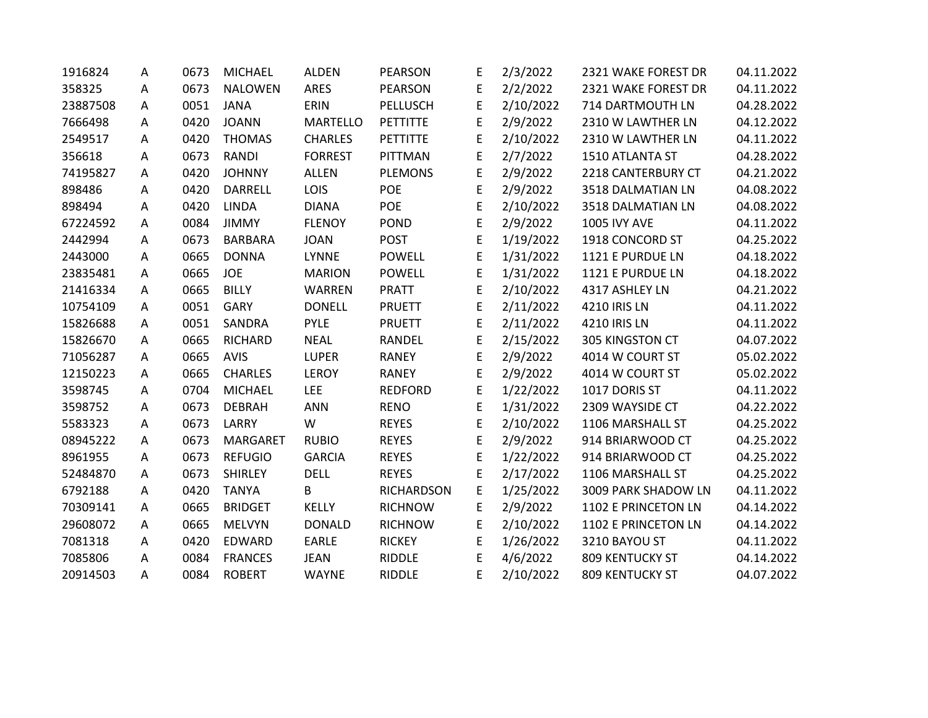| 1916824  | A | 0673 | <b>MICHAEL</b>  | <b>ALDEN</b>    | <b>PEARSON</b>    | E | 2/3/2022  | 2321 WAKE FOREST DR    | 04.11.2022 |
|----------|---|------|-----------------|-----------------|-------------------|---|-----------|------------------------|------------|
| 358325   | A | 0673 | <b>NALOWEN</b>  | <b>ARES</b>     | PEARSON           | E | 2/2/2022  | 2321 WAKE FOREST DR    | 04.11.2022 |
| 23887508 | A | 0051 | <b>JANA</b>     | ERIN            | PELLUSCH          | E | 2/10/2022 | 714 DARTMOUTH LN       | 04.28.2022 |
| 7666498  | A | 0420 | <b>JOANN</b>    | <b>MARTELLO</b> | PETTITTE          | E | 2/9/2022  | 2310 W LAWTHER LN      | 04.12.2022 |
| 2549517  | A | 0420 | <b>THOMAS</b>   | <b>CHARLES</b>  | PETTITTE          | E | 2/10/2022 | 2310 W LAWTHER LN      | 04.11.2022 |
| 356618   | A | 0673 | <b>RANDI</b>    | <b>FORREST</b>  | PITTMAN           | E | 2/7/2022  | 1510 ATLANTA ST        | 04.28.2022 |
| 74195827 | A | 0420 | <b>JOHNNY</b>   | <b>ALLEN</b>    | <b>PLEMONS</b>    | E | 2/9/2022  | 2218 CANTERBURY CT     | 04.21.2022 |
| 898486   | A | 0420 | <b>DARRELL</b>  | LOIS            | POE               | E | 2/9/2022  | 3518 DALMATIAN LN      | 04.08.2022 |
| 898494   | A | 0420 | <b>LINDA</b>    | <b>DIANA</b>    | POE               | E | 2/10/2022 | 3518 DALMATIAN LN      | 04.08.2022 |
| 67224592 | A | 0084 | <b>JIMMY</b>    | <b>FLENOY</b>   | <b>POND</b>       | E | 2/9/2022  | <b>1005 IVY AVE</b>    | 04.11.2022 |
| 2442994  | A | 0673 | <b>BARBARA</b>  | <b>JOAN</b>     | <b>POST</b>       | E | 1/19/2022 | 1918 CONCORD ST        | 04.25.2022 |
| 2443000  | A | 0665 | <b>DONNA</b>    | <b>LYNNE</b>    | <b>POWELL</b>     | E | 1/31/2022 | 1121 E PURDUE LN       | 04.18.2022 |
| 23835481 | A | 0665 | <b>JOE</b>      | <b>MARION</b>   | <b>POWELL</b>     | E | 1/31/2022 | 1121 E PURDUE LN       | 04.18.2022 |
| 21416334 | A | 0665 | <b>BILLY</b>    | <b>WARREN</b>   | <b>PRATT</b>      | E | 2/10/2022 | 4317 ASHLEY LN         | 04.21.2022 |
| 10754109 | A | 0051 | <b>GARY</b>     | <b>DONELL</b>   | <b>PRUETT</b>     | E | 2/11/2022 | 4210 IRIS LN           | 04.11.2022 |
| 15826688 | A | 0051 | SANDRA          | <b>PYLE</b>     | <b>PRUETT</b>     | E | 2/11/2022 | 4210 IRIS LN           | 04.11.2022 |
| 15826670 | A | 0665 | <b>RICHARD</b>  | <b>NEAL</b>     | RANDEL            | E | 2/15/2022 | 305 KINGSTON CT        | 04.07.2022 |
| 71056287 | A | 0665 | <b>AVIS</b>     | <b>LUPER</b>    | <b>RANEY</b>      | E | 2/9/2022  | 4014 W COURT ST        | 05.02.2022 |
| 12150223 | A | 0665 | <b>CHARLES</b>  | <b>LEROY</b>    | <b>RANEY</b>      | E | 2/9/2022  | 4014 W COURT ST        | 05.02.2022 |
| 3598745  | A | 0704 | <b>MICHAEL</b>  | <b>LEE</b>      | <b>REDFORD</b>    | E | 1/22/2022 | 1017 DORIS ST          | 04.11.2022 |
| 3598752  | A | 0673 | <b>DEBRAH</b>   | <b>ANN</b>      | <b>RENO</b>       | E | 1/31/2022 | 2309 WAYSIDE CT        | 04.22.2022 |
| 5583323  | A | 0673 | LARRY           | W               | <b>REYES</b>      | E | 2/10/2022 | 1106 MARSHALL ST       | 04.25.2022 |
| 08945222 | A | 0673 | <b>MARGARET</b> | <b>RUBIO</b>    | <b>REYES</b>      | E | 2/9/2022  | 914 BRIARWOOD CT       | 04.25.2022 |
| 8961955  | A | 0673 | <b>REFUGIO</b>  | <b>GARCIA</b>   | <b>REYES</b>      | E | 1/22/2022 | 914 BRIARWOOD CT       | 04.25.2022 |
| 52484870 | A | 0673 | <b>SHIRLEY</b>  | <b>DELL</b>     | <b>REYES</b>      | E | 2/17/2022 | 1106 MARSHALL ST       | 04.25.2022 |
| 6792188  | A | 0420 | <b>TANYA</b>    | B               | <b>RICHARDSON</b> | E | 1/25/2022 | 3009 PARK SHADOW LN    | 04.11.2022 |
| 70309141 | A | 0665 | <b>BRIDGET</b>  | KELLY           | <b>RICHNOW</b>    | E | 2/9/2022  | 1102 E PRINCETON LN    | 04.14.2022 |
| 29608072 | A | 0665 | <b>MELVYN</b>   | <b>DONALD</b>   | <b>RICHNOW</b>    | E | 2/10/2022 | 1102 E PRINCETON LN    | 04.14.2022 |
| 7081318  | A | 0420 | EDWARD          | <b>EARLE</b>    | <b>RICKEY</b>     | E | 1/26/2022 | 3210 BAYOU ST          | 04.11.2022 |
| 7085806  | A | 0084 | <b>FRANCES</b>  | <b>JEAN</b>     | <b>RIDDLE</b>     | E | 4/6/2022  | <b>809 KENTUCKY ST</b> | 04.14.2022 |
| 20914503 | Α | 0084 | <b>ROBERT</b>   | <b>WAYNE</b>    | <b>RIDDLE</b>     | E | 2/10/2022 | 809 KENTUCKY ST        | 04.07.2022 |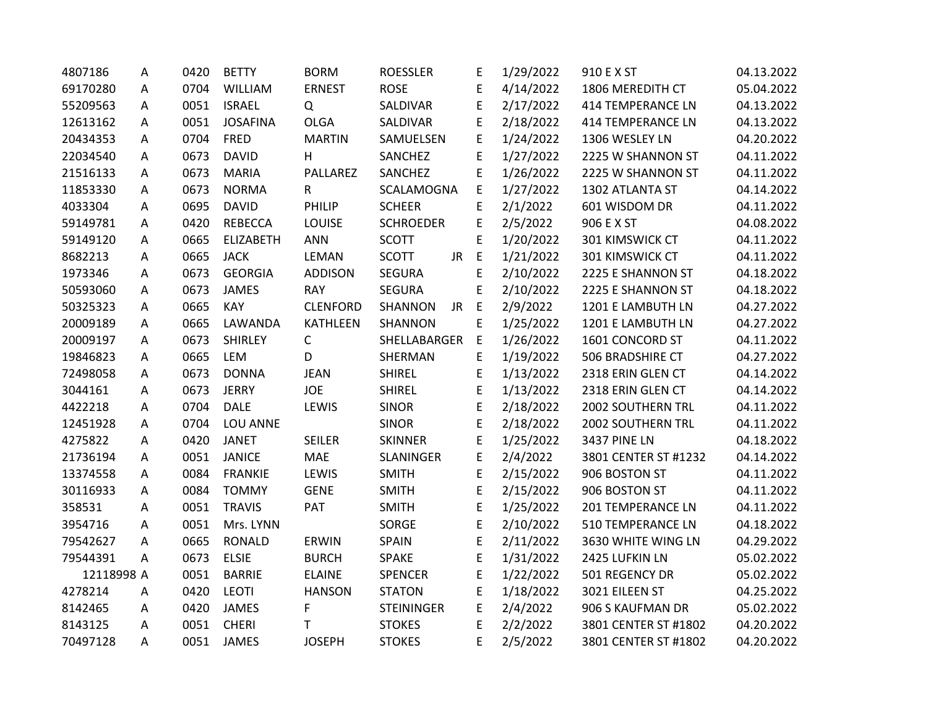| 4807186    | А | 0420 | <b>BETTY</b>     | <b>BORM</b>     | <b>ROESSLER</b>    | E           | 1/29/2022 | 910 E X ST               | 04.13.2022 |
|------------|---|------|------------------|-----------------|--------------------|-------------|-----------|--------------------------|------------|
| 69170280   | A | 0704 | WILLIAM          | <b>ERNEST</b>   | <b>ROSE</b>        | E           | 4/14/2022 | 1806 MEREDITH CT         | 05.04.2022 |
| 55209563   | A | 0051 | <b>ISRAEL</b>    | Q               | SALDIVAR           | E           | 2/17/2022 | <b>414 TEMPERANCE LN</b> | 04.13.2022 |
| 12613162   | A | 0051 | <b>JOSAFINA</b>  | <b>OLGA</b>     | SALDIVAR           | E           | 2/18/2022 | <b>414 TEMPERANCE LN</b> | 04.13.2022 |
| 20434353   | Α | 0704 | <b>FRED</b>      | <b>MARTIN</b>   | SAMUELSEN          | E           | 1/24/2022 | 1306 WESLEY LN           | 04.20.2022 |
| 22034540   | Α | 0673 | <b>DAVID</b>     | H               | SANCHEZ            | E           | 1/27/2022 | 2225 W SHANNON ST        | 04.11.2022 |
| 21516133   | A | 0673 | <b>MARIA</b>     | PALLAREZ        | SANCHEZ            | E           | 1/26/2022 | 2225 W SHANNON ST        | 04.11.2022 |
| 11853330   | Α | 0673 | <b>NORMA</b>     | R               | SCALAMOGNA         | E           | 1/27/2022 | 1302 ATLANTA ST          | 04.14.2022 |
| 4033304    | Α | 0695 | <b>DAVID</b>     | PHILIP          | <b>SCHEER</b>      | E           | 2/1/2022  | 601 WISDOM DR            | 04.11.2022 |
| 59149781   | A | 0420 | <b>REBECCA</b>   | <b>LOUISE</b>   | <b>SCHROEDER</b>   | E           | 2/5/2022  | 906 E X ST               | 04.08.2022 |
| 59149120   | Α | 0665 | <b>ELIZABETH</b> | <b>ANN</b>      | <b>SCOTT</b>       | E           | 1/20/2022 | 301 KIMSWICK CT          | 04.11.2022 |
| 8682213    | Α | 0665 | <b>JACK</b>      | <b>LEMAN</b>    | <b>SCOTT</b><br>JR | $\mathsf E$ | 1/21/2022 | 301 KIMSWICK CT          | 04.11.2022 |
| 1973346    | А | 0673 | <b>GEORGIA</b>   | <b>ADDISON</b>  | <b>SEGURA</b>      | E           | 2/10/2022 | 2225 E SHANNON ST        | 04.18.2022 |
| 50593060   | Α | 0673 | <b>JAMES</b>     | <b>RAY</b>      | <b>SEGURA</b>      | E           | 2/10/2022 | 2225 E SHANNON ST        | 04.18.2022 |
| 50325323   | Α | 0665 | KAY              | <b>CLENFORD</b> | SHANNON<br>JR      | $\mathsf E$ | 2/9/2022  | 1201 E LAMBUTH LN        | 04.27.2022 |
| 20009189   | A | 0665 | LAWANDA          | KATHLEEN        | SHANNON            | E           | 1/25/2022 | 1201 E LAMBUTH LN        | 04.27.2022 |
| 20009197   | A | 0673 | <b>SHIRLEY</b>   | $\mathsf{C}$    | SHELLABARGER       | E           | 1/26/2022 | 1601 CONCORD ST          | 04.11.2022 |
| 19846823   | Α | 0665 | LEM              | D               | SHERMAN            | E           | 1/19/2022 | 506 BRADSHIRE CT         | 04.27.2022 |
| 72498058   | Α | 0673 | <b>DONNA</b>     | <b>JEAN</b>     | <b>SHIREL</b>      | E           | 1/13/2022 | 2318 ERIN GLEN CT        | 04.14.2022 |
| 3044161    | A | 0673 | <b>JERRY</b>     | <b>JOE</b>      | <b>SHIREL</b>      | E           | 1/13/2022 | 2318 ERIN GLEN CT        | 04.14.2022 |
| 4422218    | Α | 0704 | <b>DALE</b>      | LEWIS           | <b>SINOR</b>       | E           | 2/18/2022 | 2002 SOUTHERN TRL        | 04.11.2022 |
| 12451928   | Α | 0704 | LOU ANNE         |                 | <b>SINOR</b>       | E           | 2/18/2022 | 2002 SOUTHERN TRL        | 04.11.2022 |
| 4275822    | A | 0420 | <b>JANET</b>     | <b>SEILER</b>   | <b>SKINNER</b>     | E           | 1/25/2022 | <b>3437 PINE LN</b>      | 04.18.2022 |
| 21736194   | Α | 0051 | <b>JANICE</b>    | <b>MAE</b>      | SLANINGER          | E           | 2/4/2022  | 3801 CENTER ST #1232     | 04.14.2022 |
| 13374558   | Α | 0084 | <b>FRANKIE</b>   | LEWIS           | <b>SMITH</b>       | E           | 2/15/2022 | 906 BOSTON ST            | 04.11.2022 |
| 30116933   | A | 0084 | <b>TOMMY</b>     | <b>GENE</b>     | <b>SMITH</b>       | E           | 2/15/2022 | 906 BOSTON ST            | 04.11.2022 |
| 358531     | Α | 0051 | <b>TRAVIS</b>    | PAT             | <b>SMITH</b>       | E           | 1/25/2022 | <b>201 TEMPERANCE LN</b> | 04.11.2022 |
| 3954716    | A | 0051 | Mrs. LYNN        |                 | SORGE              | E           | 2/10/2022 | <b>510 TEMPERANCE LN</b> | 04.18.2022 |
| 79542627   | A | 0665 | <b>RONALD</b>    | <b>ERWIN</b>    | SPAIN              | E           | 2/11/2022 | 3630 WHITE WING LN       | 04.29.2022 |
| 79544391   | A | 0673 | <b>ELSIE</b>     | <b>BURCH</b>    | <b>SPAKE</b>       | E           | 1/31/2022 | 2425 LUFKIN LN           | 05.02.2022 |
| 12118998 A |   | 0051 | <b>BARRIE</b>    | <b>ELAINE</b>   | <b>SPENCER</b>     | E           | 1/22/2022 | 501 REGENCY DR           | 05.02.2022 |
| 4278214    | Α | 0420 | <b>LEOTI</b>     | <b>HANSON</b>   | <b>STATON</b>      | E           | 1/18/2022 | 3021 EILEEN ST           | 04.25.2022 |
| 8142465    | A | 0420 | <b>JAMES</b>     | F               | <b>STEININGER</b>  | E           | 2/4/2022  | 906 S KAUFMAN DR         | 05.02.2022 |
| 8143125    | A | 0051 | <b>CHERI</b>     | T               | <b>STOKES</b>      | E           | 2/2/2022  | 3801 CENTER ST #1802     | 04.20.2022 |
| 70497128   | A | 0051 | <b>JAMES</b>     | <b>JOSEPH</b>   | <b>STOKES</b>      | E           | 2/5/2022  | 3801 CENTER ST #1802     | 04.20.2022 |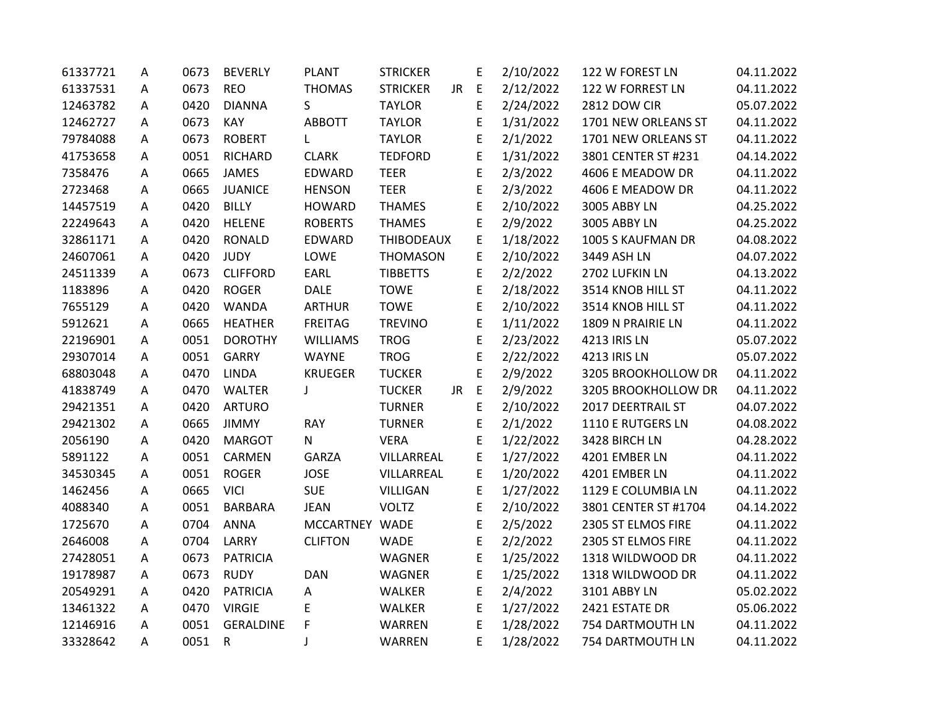| 61337721 | А | 0673 | <b>BEVERLY</b>   | <b>PLANT</b>    | <b>STRICKER</b>   |    | E           | 2/10/2022 | 122 W FOREST LN      | 04.11.2022 |
|----------|---|------|------------------|-----------------|-------------------|----|-------------|-----------|----------------------|------------|
| 61337531 | Α | 0673 | <b>REO</b>       | <b>THOMAS</b>   | <b>STRICKER</b>   | JR | E           | 2/12/2022 | 122 W FORREST LN     | 04.11.2022 |
| 12463782 | A | 0420 | <b>DIANNA</b>    | S               | <b>TAYLOR</b>     |    | E           | 2/24/2022 | 2812 DOW CIR         | 05.07.2022 |
| 12462727 | A | 0673 | KAY              | <b>ABBOTT</b>   | <b>TAYLOR</b>     |    | E           | 1/31/2022 | 1701 NEW ORLEANS ST  | 04.11.2022 |
| 79784088 | Α | 0673 | <b>ROBERT</b>    | L               | <b>TAYLOR</b>     |    | E           | 2/1/2022  | 1701 NEW ORLEANS ST  | 04.11.2022 |
| 41753658 | Α | 0051 | <b>RICHARD</b>   | <b>CLARK</b>    | <b>TEDFORD</b>    |    | E           | 1/31/2022 | 3801 CENTER ST #231  | 04.14.2022 |
| 7358476  | Α | 0665 | <b>JAMES</b>     | <b>EDWARD</b>   | <b>TEER</b>       |    | E           | 2/3/2022  | 4606 E MEADOW DR     | 04.11.2022 |
| 2723468  | Α | 0665 | <b>JUANICE</b>   | <b>HENSON</b>   | <b>TEER</b>       |    | E           | 2/3/2022  | 4606 E MEADOW DR     | 04.11.2022 |
| 14457519 | Α | 0420 | <b>BILLY</b>     | <b>HOWARD</b>   | <b>THAMES</b>     |    | E           | 2/10/2022 | 3005 ABBY LN         | 04.25.2022 |
| 22249643 | A | 0420 | <b>HELENE</b>    | <b>ROBERTS</b>  | <b>THAMES</b>     |    | E           | 2/9/2022  | 3005 ABBY LN         | 04.25.2022 |
| 32861171 | A | 0420 | <b>RONALD</b>    | EDWARD          | <b>THIBODEAUX</b> |    | E           | 1/18/2022 | 1005 S KAUFMAN DR    | 04.08.2022 |
| 24607061 | А | 0420 | <b>JUDY</b>      | LOWE            | <b>THOMASON</b>   |    | E           | 2/10/2022 | 3449 ASH LN          | 04.07.2022 |
| 24511339 | A | 0673 | <b>CLIFFORD</b>  | EARL            | <b>TIBBETTS</b>   |    | E           | 2/2/2022  | 2702 LUFKIN LN       | 04.13.2022 |
| 1183896  | Α | 0420 | <b>ROGER</b>     | <b>DALE</b>     | <b>TOWE</b>       |    | E           | 2/18/2022 | 3514 KNOB HILL ST    | 04.11.2022 |
| 7655129  | Α | 0420 | <b>WANDA</b>     | <b>ARTHUR</b>   | <b>TOWE</b>       |    | E           | 2/10/2022 | 3514 KNOB HILL ST    | 04.11.2022 |
| 5912621  | A | 0665 | <b>HEATHER</b>   | <b>FREITAG</b>  | <b>TREVINO</b>    |    | E           | 1/11/2022 | 1809 N PRAIRIE LN    | 04.11.2022 |
| 22196901 | A | 0051 | <b>DOROTHY</b>   | <b>WILLIAMS</b> | <b>TROG</b>       |    | E           | 2/23/2022 | 4213 IRIS LN         | 05.07.2022 |
| 29307014 | Α | 0051 | <b>GARRY</b>     | <b>WAYNE</b>    | <b>TROG</b>       |    | E           | 2/22/2022 | 4213 IRIS LN         | 05.07.2022 |
| 68803048 | А | 0470 | <b>LINDA</b>     | <b>KRUEGER</b>  | <b>TUCKER</b>     |    | E           | 2/9/2022  | 3205 BROOKHOLLOW DR  | 04.11.2022 |
| 41838749 | A | 0470 | <b>WALTER</b>    | J               | <b>TUCKER</b>     | JR | $\mathsf E$ | 2/9/2022  | 3205 BROOKHOLLOW DR  | 04.11.2022 |
| 29421351 | Α | 0420 | <b>ARTURO</b>    |                 | <b>TURNER</b>     |    | E           | 2/10/2022 | 2017 DEERTRAIL ST    | 04.07.2022 |
| 29421302 | Α | 0665 | <b>JIMMY</b>     | <b>RAY</b>      | <b>TURNER</b>     |    | E           | 2/1/2022  | 1110 E RUTGERS LN    | 04.08.2022 |
| 2056190  | A | 0420 | <b>MARGOT</b>    | ${\sf N}$       | <b>VERA</b>       |    | E           | 1/22/2022 | 3428 BIRCH LN        | 04.28.2022 |
| 5891122  | Α | 0051 | CARMEN           | <b>GARZA</b>    | VILLARREAL        |    | E           | 1/27/2022 | 4201 EMBER LN        | 04.11.2022 |
| 34530345 | Α | 0051 | <b>ROGER</b>     | <b>JOSE</b>     | VILLARREAL        |    | E           | 1/20/2022 | 4201 EMBER LN        | 04.11.2022 |
| 1462456  | А | 0665 | <b>VICI</b>      | <b>SUE</b>      | <b>VILLIGAN</b>   |    | E           | 1/27/2022 | 1129 E COLUMBIA LN   | 04.11.2022 |
| 4088340  | Α | 0051 | <b>BARBARA</b>   | <b>JEAN</b>     | <b>VOLTZ</b>      |    | E           | 2/10/2022 | 3801 CENTER ST #1704 | 04.14.2022 |
| 1725670  | Α | 0704 | <b>ANNA</b>      | MCCARTNEY WADE  |                   |    | E           | 2/5/2022  | 2305 ST ELMOS FIRE   | 04.11.2022 |
| 2646008  | A | 0704 | LARRY            | <b>CLIFTON</b>  | <b>WADE</b>       |    | E           | 2/2/2022  | 2305 ST ELMOS FIRE   | 04.11.2022 |
| 27428051 | A | 0673 | <b>PATRICIA</b>  |                 | WAGNER            |    | E           | 1/25/2022 | 1318 WILDWOOD DR     | 04.11.2022 |
| 19178987 | A | 0673 | <b>RUDY</b>      | <b>DAN</b>      | <b>WAGNER</b>     |    | E           | 1/25/2022 | 1318 WILDWOOD DR     | 04.11.2022 |
| 20549291 | Α | 0420 | <b>PATRICIA</b>  | Α               | <b>WALKER</b>     |    | E           | 2/4/2022  | 3101 ABBY LN         | 05.02.2022 |
| 13461322 | A | 0470 | <b>VIRGIE</b>    | E               | WALKER            |    | E           | 1/27/2022 | 2421 ESTATE DR       | 05.06.2022 |
| 12146916 | A | 0051 | <b>GERALDINE</b> | F               | WARREN            |    | E           | 1/28/2022 | 754 DARTMOUTH LN     | 04.11.2022 |
| 33328642 | A | 0051 | $\mathsf{R}$     | J               | WARREN            |    | E           | 1/28/2022 | 754 DARTMOUTH LN     | 04.11.2022 |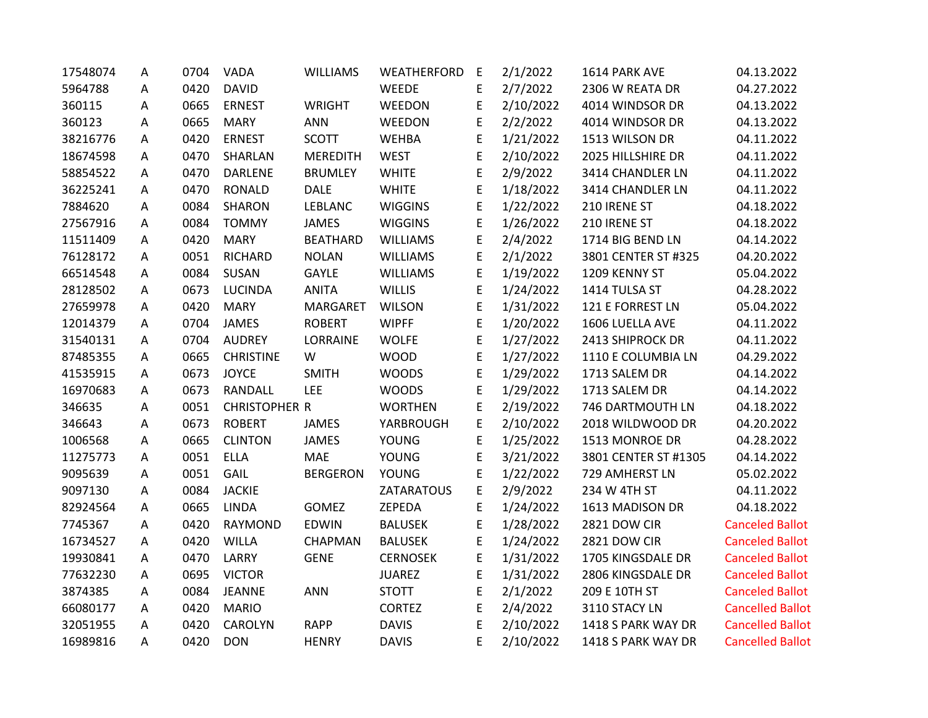| 17548074 | A | 0704 | <b>VADA</b>          | <b>WILLIAMS</b> | WEATHERFORD     | E | 2/1/2022  | 1614 PARK AVE        | 04.13.2022              |
|----------|---|------|----------------------|-----------------|-----------------|---|-----------|----------------------|-------------------------|
| 5964788  | A | 0420 | <b>DAVID</b>         |                 | WEEDE           | E | 2/7/2022  | 2306 W REATA DR      | 04.27.2022              |
| 360115   | Α | 0665 | <b>ERNEST</b>        | <b>WRIGHT</b>   | WEEDON          | E | 2/10/2022 | 4014 WINDSOR DR      | 04.13.2022              |
| 360123   | A | 0665 | <b>MARY</b>          | <b>ANN</b>      | WEEDON          | E | 2/2/2022  | 4014 WINDSOR DR      | 04.13.2022              |
| 38216776 | A | 0420 | <b>ERNEST</b>        | <b>SCOTT</b>    | <b>WEHBA</b>    | E | 1/21/2022 | 1513 WILSON DR       | 04.11.2022              |
| 18674598 | Α | 0470 | SHARLAN              | <b>MEREDITH</b> | <b>WEST</b>     | E | 2/10/2022 | 2025 HILLSHIRE DR    | 04.11.2022              |
| 58854522 | A | 0470 | DARLENE              | <b>BRUMLEY</b>  | <b>WHITE</b>    | E | 2/9/2022  | 3414 CHANDLER LN     | 04.11.2022              |
| 36225241 | Α | 0470 | RONALD               | <b>DALE</b>     | <b>WHITE</b>    | E | 1/18/2022 | 3414 CHANDLER LN     | 04.11.2022              |
| 7884620  | Α | 0084 | SHARON               | LEBLANC         | <b>WIGGINS</b>  | E | 1/22/2022 | 210 IRENE ST         | 04.18.2022              |
| 27567916 | Α | 0084 | <b>TOMMY</b>         | <b>JAMES</b>    | <b>WIGGINS</b>  | E | 1/26/2022 | 210 IRENE ST         | 04.18.2022              |
| 11511409 | A | 0420 | <b>MARY</b>          | <b>BEATHARD</b> | <b>WILLIAMS</b> | E | 2/4/2022  | 1714 BIG BEND LN     | 04.14.2022              |
| 76128172 | A | 0051 | <b>RICHARD</b>       | <b>NOLAN</b>    | <b>WILLIAMS</b> | E | 2/1/2022  | 3801 CENTER ST #325  | 04.20.2022              |
| 66514548 | Α | 0084 | SUSAN                | <b>GAYLE</b>    | <b>WILLIAMS</b> | E | 1/19/2022 | 1209 KENNY ST        | 05.04.2022              |
| 28128502 | Α | 0673 | <b>LUCINDA</b>       | <b>ANITA</b>    | <b>WILLIS</b>   | E | 1/24/2022 | 1414 TULSA ST        | 04.28.2022              |
| 27659978 | Α | 0420 | <b>MARY</b>          | MARGARET        | <b>WILSON</b>   | E | 1/31/2022 | 121 E FORREST LN     | 05.04.2022              |
| 12014379 | A | 0704 | JAMES                | <b>ROBERT</b>   | <b>WIPFF</b>    | E | 1/20/2022 | 1606 LUELLA AVE      | 04.11.2022              |
| 31540131 | A | 0704 | <b>AUDREY</b>        | LORRAINE        | <b>WOLFE</b>    | E | 1/27/2022 | 2413 SHIPROCK DR     | 04.11.2022              |
| 87485355 | A | 0665 | <b>CHRISTINE</b>     | W               | <b>WOOD</b>     | E | 1/27/2022 | 1110 E COLUMBIA LN   | 04.29.2022              |
| 41535915 | A | 0673 | <b>JOYCE</b>         | <b>SMITH</b>    | <b>WOODS</b>    | E | 1/29/2022 | 1713 SALEM DR        | 04.14.2022              |
| 16970683 | A | 0673 | RANDALL              | <b>LEE</b>      | <b>WOODS</b>    | E | 1/29/2022 | 1713 SALEM DR        | 04.14.2022              |
| 346635   | Α | 0051 | <b>CHRISTOPHER R</b> |                 | <b>WORTHEN</b>  | E | 2/19/2022 | 746 DARTMOUTH LN     | 04.18.2022              |
| 346643   | Α | 0673 | <b>ROBERT</b>        | <b>JAMES</b>    | YARBROUGH       | E | 2/10/2022 | 2018 WILDWOOD DR     | 04.20.2022              |
| 1006568  | Α | 0665 | <b>CLINTON</b>       | <b>JAMES</b>    | <b>YOUNG</b>    | E | 1/25/2022 | 1513 MONROE DR       | 04.28.2022              |
| 11275773 | A | 0051 | <b>ELLA</b>          | <b>MAE</b>      | <b>YOUNG</b>    | E | 3/21/2022 | 3801 CENTER ST #1305 | 04.14.2022              |
| 9095639  | A | 0051 | GAIL                 | <b>BERGERON</b> | <b>YOUNG</b>    | E | 1/22/2022 | 729 AMHERST LN       | 05.02.2022              |
| 9097130  | A | 0084 | <b>JACKIE</b>        |                 | ZATARATOUS      | E | 2/9/2022  | 234 W 4TH ST         | 04.11.2022              |
| 82924564 | Α | 0665 | <b>LINDA</b>         | <b>GOMEZ</b>    | ZEPEDA          | E | 1/24/2022 | 1613 MADISON DR      | 04.18.2022              |
| 7745367  | A | 0420 | <b>RAYMOND</b>       | <b>EDWIN</b>    | <b>BALUSEK</b>  | E | 1/28/2022 | <b>2821 DOW CIR</b>  | <b>Canceled Ballot</b>  |
| 16734527 | A | 0420 | <b>WILLA</b>         | CHAPMAN         | <b>BALUSEK</b>  | E | 1/24/2022 | <b>2821 DOW CIR</b>  | <b>Canceled Ballot</b>  |
| 19930841 | A | 0470 | LARRY                | <b>GENE</b>     | <b>CERNOSEK</b> | E | 1/31/2022 | 1705 KINGSDALE DR    | <b>Canceled Ballot</b>  |
| 77632230 | A | 0695 | <b>VICTOR</b>        |                 | <b>JUAREZ</b>   | E | 1/31/2022 | 2806 KINGSDALE DR    | <b>Canceled Ballot</b>  |
| 3874385  | A | 0084 | <b>JEANNE</b>        | <b>ANN</b>      | <b>STOTT</b>    | E | 2/1/2022  | 209 E 10TH ST        | <b>Canceled Ballot</b>  |
| 66080177 | A | 0420 | <b>MARIO</b>         |                 | <b>CORTEZ</b>   | E | 2/4/2022  | 3110 STACY LN        | <b>Cancelled Ballot</b> |
| 32051955 | Α | 0420 | <b>CAROLYN</b>       | <b>RAPP</b>     | <b>DAVIS</b>    | E | 2/10/2022 | 1418 S PARK WAY DR   | <b>Cancelled Ballot</b> |
| 16989816 | A | 0420 | <b>DON</b>           | <b>HENRY</b>    | <b>DAVIS</b>    | E | 2/10/2022 | 1418 S PARK WAY DR   | <b>Cancelled Ballot</b> |